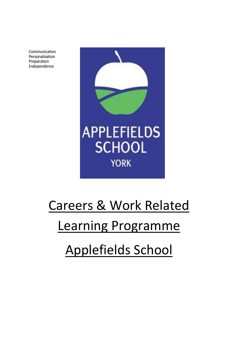Communication Personalisation Preparation Independence



# Careers & Work Related

## Learning Programme

# Applefields School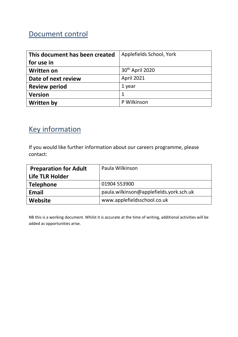## Document control

| This document has been created | Applefields School, York    |
|--------------------------------|-----------------------------|
| for use in                     |                             |
| <b>Written on</b>              | 30 <sup>th</sup> April 2020 |
| Date of next review            | <b>April 2021</b>           |
| <b>Review period</b>           | 1 year                      |
| <b>Version</b>                 | 1                           |
| <b>Written by</b>              | P Wilkinson                 |

## Key information

If you would like further information about our careers programme, please contact:

| <b>Preparation for Adult</b> | Paula Wilkinson                         |
|------------------------------|-----------------------------------------|
| Life TLR Holder              |                                         |
| <b>Telephone</b>             | 01904 553900                            |
| Email                        | paula.wilkinson@applefields.york.sch.uk |
| Website                      | www.applefieldsschool.co.uk             |

NB this is a working document. Whilst it is accurate at the time of writing, additional activities will be added as opportunities arise.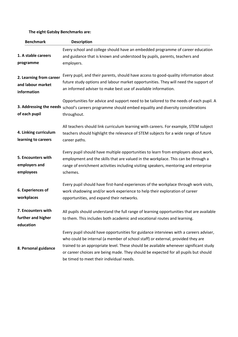### **The eight Gatsby Benchmarks are:**

| <b>Benchmark</b>                                            | <b>Description</b>                                                                                                                                                                                                                                                                                                                                                                                   |
|-------------------------------------------------------------|------------------------------------------------------------------------------------------------------------------------------------------------------------------------------------------------------------------------------------------------------------------------------------------------------------------------------------------------------------------------------------------------------|
| 1. A stable careers<br>programme                            | Every school and college should have an embedded programme of career education<br>and guidance that is known and understood by pupils, parents, teachers and<br>employers.                                                                                                                                                                                                                           |
| 2. Learning from career<br>and labour market<br>information | Every pupil, and their parents, should have access to good-quality information about<br>future study options and labour market opportunities. They will need the support of<br>an informed adviser to make best use of available information.                                                                                                                                                        |
| of each pupil                                               | Opportunities for advice and support need to be tailored to the needs of each pupil. A<br>3. Addressing the needs school's careers programme should embed equality and diversity considerations<br>throughout.                                                                                                                                                                                       |
| 4. Linking curriculum<br>learning to careers                | All teachers should link curriculum learning with careers. For example, STEM subject<br>teachers should highlight the relevance of STEM subjects for a wide range of future<br>career paths.                                                                                                                                                                                                         |
| 5. Encounters with<br>employers and<br>employees            | Every pupil should have multiple opportunities to learn from employers about work,<br>employment and the skills that are valued in the workplace. This can be through a<br>range of enrichment activities including visiting speakers, mentoring and enterprise<br>schemes.                                                                                                                          |
| 6. Experiences of<br>workplaces                             | Every pupil should have first-hand experiences of the workplace through work visits,<br>work shadowing and/or work experience to help their exploration of career<br>opportunities, and expand their networks.                                                                                                                                                                                       |
| 7. Encounters with<br>further and higher<br>education       | All pupils should understand the full range of learning opportunities that are available<br>to them. This includes both academic and vocational routes and learning.                                                                                                                                                                                                                                 |
| 8. Personal guidance                                        | Every pupil should have opportunities for guidance interviews with a careers adviser,<br>who could be internal (a member of school staff) or external, provided they are<br>trained to an appropriate level. These should be available whenever significant study<br>or career choices are being made. They should be expected for all pupils but should<br>be timed to meet their individual needs. |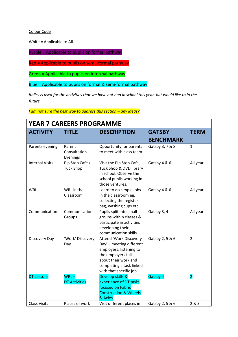#### Colour Code

White = Applicable to All

Purple = Applicable to pupils on formal pathway

Red = Applicable to pupils on semi -formal pathway

Green = Applicable to pupils on informal pathway

Blue = Applicable to pupils on formal & semi-formal pathway

*Italics is used for the activities that we have not had in school this year, but would like to in the future.* 

*I* am not sure the best way to address this section – any ideas?

| <b>ACTIVITY</b>        | <b>TITLE</b>                        | <b>DESCRIPTION</b>                                                                                                                                                                        | <b>GATSBY</b><br><b>BENCHMARK</b> | <b>TERM</b>    |
|------------------------|-------------------------------------|-------------------------------------------------------------------------------------------------------------------------------------------------------------------------------------------|-----------------------------------|----------------|
| Parents evening        | Parent<br>Consultation<br>Evenings  | Opportunity for parents<br>to meet with class team.                                                                                                                                       | Gatsby 3, 7 & 8                   | $\mathbf{1}$   |
| <b>Internal Visits</b> | Pip Stop Cafe /<br><b>Tuck Shop</b> | Visit the Pip Stop Cafe,<br>Tuck Shop & DVD library<br>in school. Observe the<br>school pupils working in<br>those ventures.                                                              | Gatsby 4 & 6                      | All year       |
| <b>WRL</b>             | WRL in the<br>Classroom             | Learn to do simple jobs<br>in the classroom eg.<br>collecting the register<br>bag, washing cups etc.                                                                                      | Gatsby 4 & 6                      | All year       |
| Communication          | Communication<br>Groups             | Pupils split into small<br>groups within classes &<br>participate in activities<br>developing their<br>communication skills.                                                              | Gatsby 3, 4                       | All year       |
| Discovery Day          | 'Work' Discovery<br>Day             | <b>Attend 'Work Discovery</b><br>Day' - meeting different<br>employers, listening to<br>the employers talk<br>about their work and<br>completing a task linked<br>with that specific job. | Gatsby 2, 5 & 6                   | $\overline{2}$ |
| <b>DT Lessons</b>      | $WRL -$<br><b>DT Activities</b>     | Develop skills &<br>experience of DT tasks<br>focused on Fabric<br><b>Construction &amp; Wheels</b><br>& Axles                                                                            | Gatsby 4                          | $\overline{2}$ |
| <b>Class Visits</b>    | Places of work                      | Visit different places in                                                                                                                                                                 | Gatsby 2, 5 & 6                   | 2 & 3          |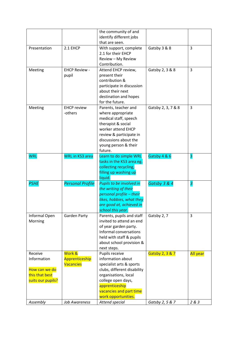|                   |                         | the community of and                  |                    |                 |
|-------------------|-------------------------|---------------------------------------|--------------------|-----------------|
|                   |                         | identify different jobs               |                    |                 |
|                   |                         | that are seen.                        |                    |                 |
| Presentation      | 2.1 EHCP                | With support, complete                | Gatsby 3 & 8       | 3               |
|                   |                         | 2.1 for their EHCP                    |                    |                 |
|                   |                         |                                       |                    |                 |
|                   |                         | Review - My Review                    |                    |                 |
|                   |                         | Contribution.                         |                    |                 |
| Meeting           | <b>EHCP Review -</b>    | Attend EHCP review,                   | Gatsby 2, 3 & 8    | 3               |
|                   | pupil                   | present their                         |                    |                 |
|                   |                         | contribution &                        |                    |                 |
|                   |                         | participate in discussion             |                    |                 |
|                   |                         | about their next                      |                    |                 |
|                   |                         | destination and hopes                 |                    |                 |
|                   |                         | for the future.                       |                    |                 |
| Meeting           | <b>EHCP</b> review      | Parents, teacher and                  | Gatsby 2, 3, 7 & 8 | 3               |
|                   | -others                 |                                       |                    |                 |
|                   |                         | where appropriate                     |                    |                 |
|                   |                         | medical staff, speech                 |                    |                 |
|                   |                         | therapist & social                    |                    |                 |
|                   |                         | worker attend EHCP                    |                    |                 |
|                   |                         | review & participate in               |                    |                 |
|                   |                         | discussions about the                 |                    |                 |
|                   |                         | young person & their                  |                    |                 |
|                   |                         | future.                               |                    |                 |
| <b>WRL</b>        | <b>WRL</b> in KS3 area  | Learn to do simple WRL                | Gatsby 4 & 6       | 3               |
|                   |                         | tasks in the KS3 area eg.             |                    |                 |
|                   |                         | collecting recycling,                 |                    |                 |
|                   |                         |                                       |                    |                 |
|                   |                         |                                       |                    |                 |
|                   |                         | filling up washing up                 |                    |                 |
|                   |                         | liquid.                               |                    |                 |
| <b>PSHE</b>       | <b>Personal Profile</b> | Pupils to be involved in              | Gatsby 3 & 4       | 3               |
|                   |                         | the writing of their                  |                    |                 |
|                   |                         | personal profile - their              |                    |                 |
|                   |                         |                                       |                    |                 |
|                   |                         | likes, hobbies, what they             |                    |                 |
|                   |                         | are good at, achieved in              |                    |                 |
|                   |                         | school this year.                     |                    |                 |
| Informal Open     | Garden Party            | Parents, pupils and staff             | Gatsby 2, 7        | 3               |
| Morning           |                         | invited to attend an end              |                    |                 |
|                   |                         | of year garden party.                 |                    |                 |
|                   |                         | Informal conversations                |                    |                 |
|                   |                         | held with staff & pupils              |                    |                 |
|                   |                         | about school provision &              |                    |                 |
|                   |                         | next steps.                           |                    |                 |
| Receive           | Work &                  | Pupils receive                        | Gatsby 2, 3 & 7    |                 |
| Information       | Apprenticeship          | information about                     |                    | <b>All year</b> |
|                   |                         |                                       |                    |                 |
|                   | <b>Vacancies</b>        | specialist arts & sports              |                    |                 |
| How can we do     |                         | clubs, different disability           |                    |                 |
| this that best    |                         | organisations, local                  |                    |                 |
| suits our pupils? |                         | college open days,                    |                    |                 |
|                   |                         | apprenticeship                        |                    |                 |
|                   |                         | vacancies and part time               |                    |                 |
| Assembly          | <b>Job Awareness</b>    | work opportunities.<br>Attend special | Gatsby 2, 5 & 7    | 283             |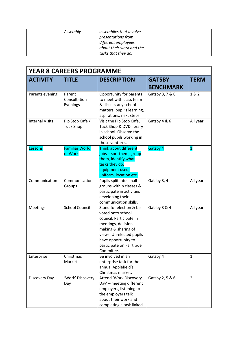| Assembly | assemblies that involve  |
|----------|--------------------------|
|          | presentations from       |
|          | different employees      |
|          | about their work and the |
|          | tasks that they do.      |

| <b>YEAR 8 CAREERS PROGRAMME</b> |                                     |                                                                                                                                                                                                                  |                  |                |
|---------------------------------|-------------------------------------|------------------------------------------------------------------------------------------------------------------------------------------------------------------------------------------------------------------|------------------|----------------|
| <b>ACTIVITY</b>                 | <b>TITLE</b>                        | <b>DESCRIPTION</b>                                                                                                                                                                                               | <b>GATSBY</b>    | <b>TERM</b>    |
|                                 |                                     |                                                                                                                                                                                                                  | <b>BENCHMARK</b> |                |
| Parents evening                 | Parent<br>Consultation<br>Evenings  | Opportunity for parents<br>to meet with class team<br>& discuss any school<br>matters, pupil's learning,<br>aspirations, next steps.                                                                             | Gatsby 3, 7 & 8  | 1 & 2          |
| <b>Internal Visits</b>          | Pip Stop Cafe /<br><b>Tuck Shop</b> | Visit the Pip Stop Cafe,<br>Tuck Shop & DVD library<br>in school. Observe the<br>school pupils working in<br>those ventures.                                                                                     | Gatsby 4 & 6     | All year       |
| Lessons                         | <b>Familiar World</b><br>of Work    | Think about different<br>jobs - sort them, group<br>them, identify what<br>tasks they do,<br>equipment used,<br>uniform, location etc.                                                                           | Gatsby 4         | $\mathbf{1}$   |
| Communication                   | Communication<br>Groups             | Pupils split into small<br>groups within classes &<br>participate in activities<br>developing their<br>communication skills.                                                                                     | Gatsby 3, 4      | All year       |
| Meetings                        | <b>School Council</b>               | Stand for election & be<br>voted onto school<br>council. Participate in<br>meetings, decision<br>making & sharing of<br>views. Un-elected pupils<br>have opportunity to<br>participate on Fairtrade<br>Commitee. | Gatsby 3 & 4     | All year       |
| Enterprise                      | Christmas<br>Market                 | Be involved in an<br>enterprise task for the<br>annual Applefield's<br>Christmas market.                                                                                                                         | Gatsby 4         | $\mathbf{1}$   |
| Discovery Day                   | 'Work' Discovery<br>Day             | <b>Attend 'Work Discovery</b><br>Day' - meeting different<br>employers, listening to<br>the employers talk<br>about their work and<br>completing a task linked                                                   | Gatsby 2, 5 & 6  | $\overline{2}$ |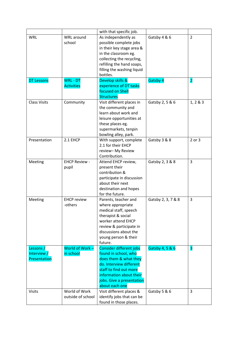|                     |                      | with that specific job.                               |                    |                         |
|---------------------|----------------------|-------------------------------------------------------|--------------------|-------------------------|
| <b>WRL</b>          | WRL around           | As independently as                                   | Gatsby 4 & 6       | $\overline{2}$          |
|                     | school               | possible complete jobs                                |                    |                         |
|                     |                      | in their key stage area &                             |                    |                         |
|                     |                      | in the classroom eg.                                  |                    |                         |
|                     |                      | collecting the recycling,                             |                    |                         |
|                     |                      | refilling the hand soaps,                             |                    |                         |
|                     |                      | filling the washing liquid                            |                    |                         |
|                     |                      | bottles.                                              |                    |                         |
| <b>DT Lessons</b>   | <b>WRL - DT</b>      | Develop skills &                                      | Gatsby 4           | $\overline{\mathbf{2}}$ |
|                     | <b>Activities</b>    | experience of DT tasks                                |                    |                         |
|                     |                      | focused on Shell                                      |                    |                         |
|                     |                      | <b>Structures</b>                                     |                    |                         |
| <b>Class Visits</b> | Community            | Visit different places in                             | Gatsby 2, 5 & 6    | 1, 2 & 3                |
|                     |                      | the community and                                     |                    |                         |
|                     |                      | learn about work and                                  |                    |                         |
|                     |                      | leisure opportunities at                              |                    |                         |
|                     |                      | these places eg.                                      |                    |                         |
|                     |                      | supermarkets, tenpin                                  |                    |                         |
|                     |                      | bowling alley, park.                                  |                    |                         |
| Presentation        | 2.1 EHCP             | With support, complete                                | Gatsby 3 & 8       | 2 or 3                  |
|                     |                      | 2.1 for their EHCP                                    |                    |                         |
|                     |                      | review-My Review                                      |                    |                         |
|                     |                      | Contribution.                                         |                    |                         |
| Meeting             | <b>EHCP Review -</b> | Attend EHCP review,                                   | Gatsby 2, 3 & 8    | 3                       |
|                     | pupil                | present their                                         |                    |                         |
|                     |                      | contribution &                                        |                    |                         |
|                     |                      | participate in discussion                             |                    |                         |
|                     |                      | about their next                                      |                    |                         |
|                     |                      | destination and hopes                                 |                    |                         |
|                     |                      | for the future.                                       |                    |                         |
| Meeting             | <b>EHCP review</b>   | Parents, teacher and                                  | Gatsby 2, 3, 7 & 8 | 3                       |
|                     | -others              | where appropriate                                     |                    |                         |
|                     |                      | medical staff, speech                                 |                    |                         |
|                     |                      | therapist & social                                    |                    |                         |
|                     |                      | worker attend EHCP                                    |                    |                         |
|                     |                      | review & participate in                               |                    |                         |
|                     |                      | discussions about the                                 |                    |                         |
|                     |                      |                                                       |                    |                         |
|                     |                      | young person & their<br>future.                       |                    |                         |
| Lessons /           | World of Work-       | Consider different jobs                               | Gatsby 4, 5 & 6    | 3                       |
| Interview /         | in school            | found in school, who                                  |                    |                         |
| Presentation        |                      | does them & what they                                 |                    |                         |
|                     |                      | do. Interview different                               |                    |                         |
|                     |                      | staff to find out more                                |                    |                         |
|                     |                      |                                                       |                    |                         |
|                     |                      | information about their                               |                    |                         |
|                     |                      | jobs. Give a presentation<br>about each one           |                    |                         |
|                     | World of Work        |                                                       |                    |                         |
| <b>Visits</b>       | outside of school    | Visit different places &<br>identify jobs that can be | Gatsby 5 & 6       | 3                       |
|                     |                      |                                                       |                    |                         |
|                     |                      | found in those places.                                |                    |                         |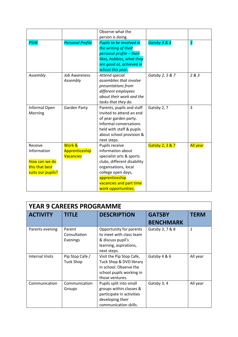|                   |                         | Observe what the                |                 |                 |
|-------------------|-------------------------|---------------------------------|-----------------|-----------------|
|                   |                         | person is doing.                |                 |                 |
| <b>PSHE</b>       | <b>Personal Profile</b> | <b>Pupils to be involved in</b> | Gatsby 3 & 4    | 3               |
|                   |                         | the writing of their            |                 |                 |
|                   |                         | personal profile - their        |                 |                 |
|                   |                         | likes, hobbies, what they       |                 |                 |
|                   |                         | are good at, achieved in        |                 |                 |
|                   |                         | school this year.               |                 |                 |
| Assembly          | <b>Job Awareness</b>    | Attend special                  | Gatsby 2, 5 & 7 | 2 & 3           |
|                   | Assembly                | assemblies that involve         |                 |                 |
|                   |                         | presentations from              |                 |                 |
|                   |                         | different employees             |                 |                 |
|                   |                         | about their work and the        |                 |                 |
|                   |                         | tasks that they do.             |                 |                 |
| Informal Open     | <b>Garden Party</b>     | Parents, pupils and staff       | Gatsby 2, 7     | $\overline{3}$  |
| Morning           |                         | invited to attend an end        |                 |                 |
|                   |                         | of year garden party.           |                 |                 |
|                   |                         | Informal conversations          |                 |                 |
|                   |                         | held with staff & pupils        |                 |                 |
|                   |                         | about school provision &        |                 |                 |
|                   |                         | next steps.                     |                 |                 |
| Receive           | Work &                  | Pupils receive                  | Gatsby 2, 3 & 7 | <b>All year</b> |
| Information       | Apprenticeship          | information about               |                 |                 |
|                   | <b>Vacancies</b>        | specialist arts & sports        |                 |                 |
| How can we do     |                         | clubs, different disability     |                 |                 |
| this that best    |                         | organisations, local            |                 |                 |
| suits our pupils? |                         | college open days,              |                 |                 |
|                   |                         | apprenticeship                  |                 |                 |
|                   |                         | vacancies and part time         |                 |                 |
|                   |                         | work opportunities.             |                 |                 |

| <b>YEAR 9 CAREERS PROGRAMME</b> |                                     |                                                                                                                              |                  |              |
|---------------------------------|-------------------------------------|------------------------------------------------------------------------------------------------------------------------------|------------------|--------------|
| <b>ACTIVITY</b>                 | <b>TITLE</b>                        | <b>DESCRIPTION</b>                                                                                                           | <b>GATSBY</b>    | <b>TERM</b>  |
|                                 |                                     |                                                                                                                              | <b>BENCHMARK</b> |              |
| Parents evening                 | Parent<br>Consultation<br>Evenings  | Opportunity for parents<br>to meet with class team<br>& discuss pupil's<br>learning, aspirations,<br>next steps.             | Gatsby 3, 7 & 8  | $\mathbf{1}$ |
| <b>Internal Visits</b>          | Pip Stop Cafe /<br><b>Tuck Shop</b> | Visit the Pip Stop Cafe,<br>Tuck Shop & DVD library<br>in school. Observe the<br>school pupils working in<br>those ventures. | Gatsby 4 & 6     | All year     |
| Communication                   | Communication<br>Groups             | Pupils split into small<br>groups within classes &<br>participate in activities<br>developing their<br>communication skills. | Gatsby 3, 4      | All year     |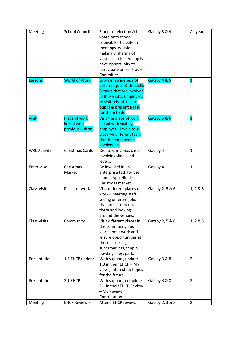| Meetings            | <b>School Council</b>                                    | Stand for election & be<br>voted onto school<br>council. Participate in<br>meetings, decision<br>making & sharing of<br>views. Un-elected pupils<br>have opportunity to<br>participate on Fairtrade<br>Commitee. | Gatsby 3 & 4    | All year       |
|---------------------|----------------------------------------------------------|------------------------------------------------------------------------------------------------------------------------------------------------------------------------------------------------------------------|-----------------|----------------|
| Lessons             | <b>World of Work</b>                                     | <b>Grow in awareness of</b><br>different jobs & the skills<br>& tasks that are involved<br>in those jobs. Employers<br>to visit school, talk to<br>pupils & present a task<br>for them to do                     | Gatsby 4 & 5    | $\mathbf{1}$   |
| <b>Visit</b>        | <b>Place of work</b><br>linked with<br>previous visitor. | Visit the place of work<br>linked with visiting<br>employer. Have a tour.<br>Observe different tasks<br>that the employer is<br>involved in.                                                                     | Gatsby 5 & 6    | $\mathbf{1}$   |
| <b>WRL Activity</b> | Christmas Cards                                          | Create Christmas cards<br>involving slides and<br>levers.                                                                                                                                                        | Gatsby 4        | $\mathbf{1}$   |
| Enterprise          | Christmas<br>Market                                      | Be involved in an<br>enterprise task for the<br>annual Applefield's<br>Christmas market.                                                                                                                         | Gatsby 4        | $\mathbf{1}$   |
| <b>Class Visits</b> | Places of work                                           | Visit different places of<br>work - meeting staff,<br>seeing different jobs<br>that are carried out<br>there and looking<br>around the venues.                                                                   | Gatsby 2, 5 & 6 | 1, 2 & 3       |
| <b>Class Visits</b> | Community                                                | Visit different places in<br>the community and<br>learn about work and<br>leisure opportunities at<br>these places eg.<br>supermarkets, tenpin<br>bowling alley, park.                                           | Gatsby 2, 5 & 6 | 1, 2 & 3       |
| Presentation        | 1.3 EHCP update                                          | With support, update<br>1.3 in their EHCP - My<br>views, interests & hopes<br>for the future.                                                                                                                    | Gatsby 3 & 8    | $\overline{2}$ |
| Presentation        | 2.1 EHCP                                                 | With support, complete<br>2.1 in their EHCP Review<br>- My Review<br>Contribution.                                                                                                                               | Gatsby 3 & 8    | $\overline{2}$ |
| Meeting             | <b>EHCP Review -</b>                                     | Attend EHCP review,                                                                                                                                                                                              | Gatsby 2, 3 & 8 | $\overline{2}$ |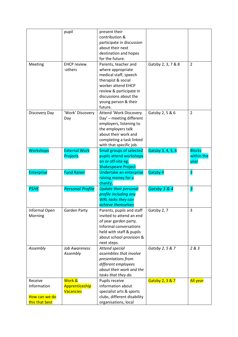|                                 | pupil                   | present their                                       |                    |                         |
|---------------------------------|-------------------------|-----------------------------------------------------|--------------------|-------------------------|
|                                 |                         | contribution &                                      |                    |                         |
|                                 |                         | participate in discussion                           |                    |                         |
|                                 |                         | about their next                                    |                    |                         |
|                                 |                         | destination and hopes                               |                    |                         |
|                                 |                         | for the future.                                     |                    |                         |
| Meeting                         | <b>EHCP</b> review      | Parents, teacher and                                | Gatsby 2, 3, 7 & 8 | 2                       |
|                                 | -others                 | where appropriate                                   |                    |                         |
|                                 |                         | medical staff, speech                               |                    |                         |
|                                 |                         | therapist & social                                  |                    |                         |
|                                 |                         | worker attend EHCP                                  |                    |                         |
|                                 |                         | review & participate in                             |                    |                         |
|                                 |                         | discussions about the                               |                    |                         |
|                                 |                         | young person & their                                |                    |                         |
|                                 |                         | future.                                             |                    |                         |
| Discovery Day                   | 'Work' Discovery        | Attend 'Work Discovery                              | Gatsby 2, 5 & 6    | 2                       |
|                                 | Day                     | Day' - meeting different                            |                    |                         |
|                                 |                         | employers, listening to                             |                    |                         |
|                                 |                         | the employers talk                                  |                    |                         |
|                                 |                         | about their work and                                |                    |                         |
|                                 |                         | completing a task linked                            |                    |                         |
|                                 |                         | with that specific job.                             |                    |                         |
| <b>Workshops</b>                | <b>External Work</b>    | <b>Small groups of selected</b>                     | Gatsby 3, 4, 5, 6  | <b>Blocks</b>           |
|                                 | Projects                | pupils attend workshops                             |                    | within the              |
|                                 |                         | on or off-site eg.                                  |                    | year                    |
|                                 |                         | <b>Shakespeare Project</b>                          |                    |                         |
|                                 |                         |                                                     |                    |                         |
| <b>Enterprise</b>               | <b>Fund Raiser</b>      | Undertake an enterprise                             | Gatsby 4           | 3                       |
|                                 |                         | raising money for a                                 |                    |                         |
|                                 |                         | charity.                                            |                    |                         |
| <b>PSHE</b>                     | <b>Personal Profile</b> | <b>Update their personal</b>                        | Gatsby 3 & 4       | $\overline{\mathbf{3}}$ |
|                                 |                         | profile including any                               |                    |                         |
|                                 |                         | <b>WRL</b> tasks they can                           |                    |                         |
|                                 |                         | achieve themselves                                  |                    |                         |
| Informal Open                   | <b>Garden Party</b>     | Parents, pupils and staff                           | Gatsby 2, 7        | 3                       |
| Morning                         |                         | invited to attend an end                            |                    |                         |
|                                 |                         | of year garden party.                               |                    |                         |
|                                 |                         | Informal conversations                              |                    |                         |
|                                 |                         | held with staff & pupils                            |                    |                         |
|                                 |                         | about school provision &                            |                    |                         |
|                                 |                         | next steps.                                         |                    |                         |
| Assembly                        | Job Awareness           | Attend special                                      | Gatsby 2, 5 & 7    | 2 & 3                   |
|                                 | Assembly                | assemblies that involve                             |                    |                         |
|                                 |                         | presentations from                                  |                    |                         |
|                                 |                         | different employees                                 |                    |                         |
|                                 |                         | about their work and the                            |                    |                         |
|                                 |                         | tasks that they do.                                 |                    |                         |
| Receive                         | Work &                  | Pupils receive                                      | Gatsby 2, 3 & 7    | <b>All year</b>         |
| Information                     | Apprenticeship          | information about                                   |                    |                         |
|                                 | <b>Vacancies</b>        | specialist arts & sports                            |                    |                         |
| How can we do<br>this that best |                         | clubs, different disability<br>organisations, local |                    |                         |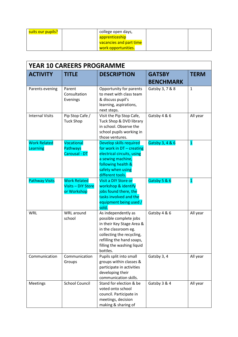| suits our pupils? | college open days,      |  |
|-------------------|-------------------------|--|
|                   | apprenticeship          |  |
|                   | vacancies and part time |  |
|                   | work opportunities.     |  |

| <b>YEAR 10 CAREERS PROGRAMME</b> |                                                          |                                                                                                                                                                                                        |                  |                         |  |
|----------------------------------|----------------------------------------------------------|--------------------------------------------------------------------------------------------------------------------------------------------------------------------------------------------------------|------------------|-------------------------|--|
| <b>ACTIVITY</b>                  | <b>TITLE</b>                                             | <b>DESCRIPTION</b>                                                                                                                                                                                     | <b>GATSBY</b>    | <b>TERM</b>             |  |
|                                  |                                                          |                                                                                                                                                                                                        | <b>BENCHMARK</b> |                         |  |
| Parents evening                  | Parent<br>Consultation<br>Evenings                       | Opportunity for parents<br>to meet with class team<br>& discuss pupil's<br>learning, aspirations,<br>next steps.                                                                                       | Gatsby 3, 7 & 8  | $\mathbf{1}$            |  |
| <b>Internal Visits</b>           | Pip Stop Cafe /<br><b>Tuck Shop</b>                      | Visit the Pip Stop Cafe,<br>Tuck Shop & DVD library<br>in school. Observe the<br>school pupils working in<br>those ventures.                                                                           | Gatsby 4 & 6     | All year                |  |
| <b>Work Related</b><br>Learning  | Vocational<br><b>Pathways</b><br>Carousal - DT           | Develop skills required<br>for work in DT - creating<br>electrical circuits, using<br>a sewing machine,<br>following health &<br>safety when using<br>different tools.                                 | Gatsby 3, 4 & 6  | $\overline{\mathbf{1}}$ |  |
| <b>Pathway Visits</b>            | <b>Work Related</b><br>Visits - DIY Store<br>or Workshop | Visit a DIY Store or<br>workshop & identify<br>jobs found there, the<br>tasks involved and the<br>equipment being used /<br>sold.                                                                      | Gatsby 5 & 6     | $\mathbf{1}$            |  |
| <b>WRL</b>                       | WRL around<br>school                                     | As independently as<br>possible complete jobs<br>in their Key Stage Area &<br>in the classroom eg.<br>collecting the recycling,<br>refilling the hand soaps,<br>filling the washing liquid<br>bottles. | Gatsby 4 & 6     | All year                |  |
| Communication                    | Communication<br>Groups                                  | Pupils split into small<br>groups within classes &<br>participate in activities<br>developing their<br>communication skills.                                                                           | Gatsby 3, 4      | All year                |  |
| <b>Meetings</b>                  | <b>School Council</b>                                    | Stand for election & be<br>voted onto school<br>council. Participate in<br>meetings, decision<br>making & sharing of                                                                                   | Gatsby 3 & 4     | All year                |  |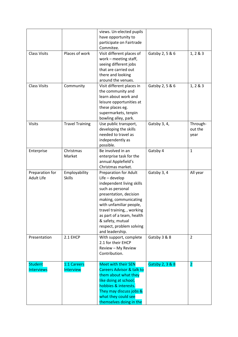|                     |                        | views. Un-elected pupils             |                 |                         |
|---------------------|------------------------|--------------------------------------|-----------------|-------------------------|
|                     |                        | have opportunity to                  |                 |                         |
|                     |                        | participate on Fairtrade             |                 |                         |
|                     |                        | Commitee.                            |                 |                         |
| <b>Class Visits</b> | Places of work         | Visit different places of            | Gatsby 2, 5 & 6 | 1, 2 & 3                |
|                     |                        | work - meeting staff,                |                 |                         |
|                     |                        | seeing different jobs                |                 |                         |
|                     |                        | that are carried out                 |                 |                         |
|                     |                        | there and looking                    |                 |                         |
|                     |                        | around the venues.                   |                 |                         |
| <b>Class Visits</b> | Community              | Visit different places in            | Gatsby 2, 5 & 6 | 1, 2 & 3                |
|                     |                        | the community and                    |                 |                         |
|                     |                        | learn about work and                 |                 |                         |
|                     |                        | leisure opportunities at             |                 |                         |
|                     |                        | these places eg.                     |                 |                         |
|                     |                        | supermarkets, tenpin                 |                 |                         |
|                     |                        | bowling alley, park.                 |                 |                         |
| <b>Visits</b>       | <b>Travel Training</b> | Use public transport,                | Gatsby 3, 4,    | Through-                |
|                     |                        | developing the skills                |                 | out the                 |
|                     |                        | needed to travel as                  |                 | year                    |
|                     |                        | independently as                     |                 |                         |
|                     |                        | possible.                            |                 |                         |
| Enterprise          | Christmas              | Be involved in an                    | Gatsby 4        | $\mathbf{1}$            |
|                     | Market                 | enterprise task for the              |                 |                         |
|                     |                        | annual Applefield's                  |                 |                         |
|                     |                        | Christmas market.                    |                 |                         |
| Preparation for     | Employability          | Preparation for Adult                | Gatsby 3, 4     | All year                |
| <b>Adult Life</b>   | <b>Skills</b>          | $Life$ – develop                     |                 |                         |
|                     |                        | independent living skills            |                 |                         |
|                     |                        | such as personal                     |                 |                         |
|                     |                        | presentation, decision               |                 |                         |
|                     |                        | making, communicating                |                 |                         |
|                     |                        | with unfamiliar people,              |                 |                         |
|                     |                        | travel training, , working           |                 |                         |
|                     |                        | as part of a team, health            |                 |                         |
|                     |                        | & safety, mutual                     |                 |                         |
|                     |                        | respect, problem solving             |                 |                         |
|                     |                        | and leadership.                      |                 |                         |
| Presentation        | 2.1 EHCP               | With support, complete               | Gatsby 3 & 8    | 2                       |
|                     |                        | 2.1 for their EHCP                   |                 |                         |
|                     |                        | Review - My Review                   |                 |                         |
|                     |                        | Contribution.                        |                 |                         |
|                     |                        |                                      |                 |                         |
| <b>Student</b>      | 1:1 Careers            | Meet with their SEN                  | Gatsby 2, 3 & 8 | $\overline{\mathbf{2}}$ |
| <b>Interviews</b>   | Interview              | <b>Careers Advisor &amp; talk to</b> |                 |                         |
|                     |                        | them about what they                 |                 |                         |
|                     |                        | like doing at school,                |                 |                         |
|                     |                        | hobbies & interests.                 |                 |                         |
|                     |                        | They may discuss jobs &              |                 |                         |
|                     |                        | what they could see                  |                 |                         |
|                     |                        | themselves doing in the              |                 |                         |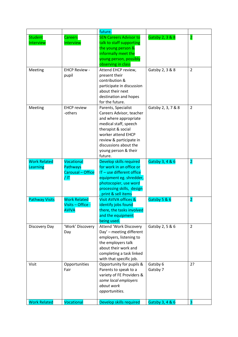|                       |                      | future.                          |                    |                         |
|-----------------------|----------------------|----------------------------------|--------------------|-------------------------|
| <b>Student</b>        | <b>Careers</b>       | <b>SEN Careers Advisor to</b>    | Gatsby 2, 3 & 8    | $\overline{\mathbf{2}}$ |
| Interview             | Interview            | talk to staff supporting         |                    |                         |
|                       |                      | the young person &               |                    |                         |
|                       |                      | informally meet the              |                    |                         |
|                       |                      | young person, possibly           |                    |                         |
|                       |                      | observing in class               |                    |                         |
| Meeting               | <b>EHCP Review -</b> | Attend EHCP review,              | Gatsby 2, 3 & 8    | $\overline{2}$          |
|                       | pupil                | present their                    |                    |                         |
|                       |                      | contribution &                   |                    |                         |
|                       |                      | participate in discussion        |                    |                         |
|                       |                      | about their next                 |                    |                         |
|                       |                      | destination and hopes            |                    |                         |
|                       |                      | for the future.                  |                    |                         |
| Meeting               | <b>EHCP</b> review   | Parents, Specialist              | Gatsby 2, 3, 7 & 8 | $\overline{2}$          |
|                       | -others              | Careers Advisor, teacher         |                    |                         |
|                       |                      | and where appropriate            |                    |                         |
|                       |                      | medical staff, speech            |                    |                         |
|                       |                      | therapist & social               |                    |                         |
|                       |                      | worker attend EHCP               |                    |                         |
|                       |                      | review & participate in          |                    |                         |
|                       |                      | discussions about the            |                    |                         |
|                       |                      | young person & their<br>future.  |                    |                         |
| <b>Work Related</b>   | Vocational           | Develop skills required          |                    |                         |
| Learning              | Pathways             | for work in an office or         | Gatsby 3, 4 & 6    | $\overline{2}$          |
|                       | Carousal - Office    | IT - use different office        |                    |                         |
|                       | / IT                 | equipment eg. shredder,          |                    |                         |
|                       |                      | photocopier, use word            |                    |                         |
|                       |                      | processing skills, design        |                    |                         |
|                       |                      | print & sell items               |                    |                         |
| <b>Pathway Visits</b> | <b>Work Related</b>  | <b>Visit AVIVA offices &amp;</b> | Gatsby 5 & 6       | $\overline{2}$          |
|                       | Visits - Office -    | identify jobs found              |                    |                         |
|                       | <b>AVIVA</b>         | there, the tasks involved        |                    |                         |
|                       |                      | and the equipment                |                    |                         |
|                       |                      | being used.                      |                    |                         |
| Discovery Day         | 'Work' Discovery     | Attend 'Work Discovery           | Gatsby 2, 5 & 6    | $\overline{2}$          |
|                       | Day                  | Day' - meeting different         |                    |                         |
|                       |                      | employers, listening to          |                    |                         |
|                       |                      | the employers talk               |                    |                         |
|                       |                      | about their work and             |                    |                         |
|                       |                      | completing a task linked         |                    |                         |
|                       |                      | with that specific job.          |                    |                         |
| Visit                 | Opportunities        | Opportunity for pupils &         | Gatsby 6           | 2?                      |
|                       | Fair                 | Parents to speak to a            | Gatsby 7           |                         |
|                       |                      | variety of FE Providers &        |                    |                         |
|                       |                      | some local employers             |                    |                         |
|                       |                      | about work                       |                    |                         |
|                       |                      | opportunities.                   |                    |                         |
|                       |                      |                                  |                    |                         |
| <b>Work Related</b>   | Vocational           | Develop skills required          | Gatsby 3, 4 & 6    | 3                       |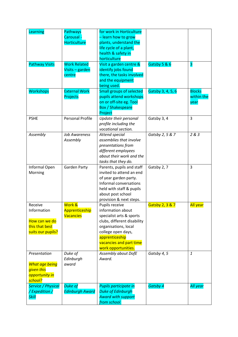| Learning                        | <b>Pathways</b><br>Carousal - | for work in Horticulture<br>- learn how to grow |                   |                 |
|---------------------------------|-------------------------------|-------------------------------------------------|-------------------|-----------------|
|                                 | <b>Horticulture</b>           | plants, understand the                          |                   |                 |
|                                 |                               | life cycle of a plant,                          |                   |                 |
|                                 |                               | health & safety in                              |                   |                 |
|                                 |                               | horticulture                                    |                   |                 |
| <b>Pathway Visits</b>           | <b>Work Related</b>           | Visit a garden centre &                         | Gatsby 5 & 6      | 3               |
|                                 | Visits - garden               | identify jobs found                             |                   |                 |
|                                 | centre                        | there, the tasks involved                       |                   |                 |
|                                 |                               | and the equipment                               |                   |                 |
|                                 |                               | being used.                                     |                   |                 |
| <b>Workshops</b>                | <b>External Work</b>          | <b>Small groups of selected</b>                 | Gatsby 3, 4, 5, 6 | <b>Blocks</b>   |
|                                 | Projects                      | pupils attend workshops                         |                   | within the      |
|                                 |                               | on or off-site eg. Tool                         |                   | year            |
|                                 |                               | <b>Box / Shakespeare</b>                        |                   |                 |
|                                 |                               | Project                                         |                   |                 |
| <b>PSHE</b>                     | <b>Personal Profile</b>       | Update their personal                           | Gatsby 3, 4       | 3               |
|                                 |                               | profile including the                           |                   |                 |
|                                 |                               | vocational section.                             |                   |                 |
| Assembly                        | <b>Job Awareness</b>          | Attend special                                  | Gatsby 2, 5 & 7   | 2 & 3           |
|                                 | Assembly                      | assemblies that involve                         |                   |                 |
|                                 |                               | presentations from                              |                   |                 |
|                                 |                               | different employees                             |                   |                 |
|                                 |                               | about their work and the                        |                   |                 |
|                                 |                               | tasks that they do.                             |                   |                 |
| Informal Open                   | Garden Party                  | Parents, pupils and staff                       | Gatsby 2, 7       | 3               |
| Morning                         |                               | invited to attend an end                        |                   |                 |
|                                 |                               | of year garden party.                           |                   |                 |
|                                 |                               | Informal conversations                          |                   |                 |
|                                 |                               | held with staff & pupils                        |                   |                 |
|                                 |                               | about post school                               |                   |                 |
|                                 |                               | provision & next steps.                         |                   |                 |
| Receive                         | Work &                        | Pupils receive                                  | Gatsby 2, 3 & 7   | <b>All year</b> |
| Information                     | Apprenticeship                | information about                               |                   |                 |
|                                 | <b>Vacancies</b>              | specialist arts & sports                        |                   |                 |
| How can we do<br>this that best |                               | clubs, different disability                     |                   |                 |
| suits our pupils?               |                               | organisations, local<br>college open days,      |                   |                 |
|                                 |                               | apprenticeship                                  |                   |                 |
|                                 |                               | vacancies and part time                         |                   |                 |
|                                 |                               | work opportunities.                             |                   |                 |
| Presentation                    | Duke of                       | Assembly about DofE                             | Gatsby 4, 5       | $\mathbf{1}$    |
|                                 | Edinburgh                     | Award.                                          |                   |                 |
| <b>What age being</b>           | award                         |                                                 |                   |                 |
| given this                      |                               |                                                 |                   |                 |
| opportunity in                  |                               |                                                 |                   |                 |
| school?                         |                               |                                                 |                   |                 |
| <b>Service / Physical</b>       | <b>Duke of</b>                | Pupils participate in                           | <b>Gatsby 4</b>   | <b>All year</b> |
| /Expedition /                   | <b>Edinburgh Award</b>        | <b>Duke of Edinburgh</b>                        |                   |                 |
| <b>Skill</b>                    |                               | <b>Award with support</b>                       |                   |                 |
|                                 |                               | from school.                                    |                   |                 |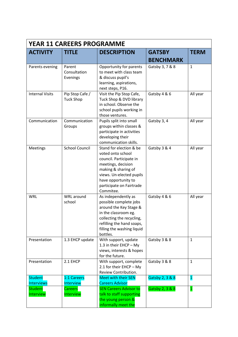| <b>YEAR 11 CAREERS PROGRAMME</b>    |                                     |                                                                                                                                                                                                                  |                  |                |  |
|-------------------------------------|-------------------------------------|------------------------------------------------------------------------------------------------------------------------------------------------------------------------------------------------------------------|------------------|----------------|--|
| <b>ACTIVITY</b>                     | <b>TITLE</b>                        | <b>DESCRIPTION</b>                                                                                                                                                                                               | <b>GATSBY</b>    | <b>TERM</b>    |  |
|                                     |                                     |                                                                                                                                                                                                                  | <b>BENCHMARK</b> |                |  |
| Parents evening                     | Parent<br>Consultation<br>Evenings  | Opportunity for parents<br>to meet with class team<br>& discuss pupil's<br>learning, aspirations,<br>next steps, P16.                                                                                            | Gatsby 3, 7 & 8  | $\mathbf{1}$   |  |
| <b>Internal Visits</b>              | Pip Stop Cafe /<br><b>Tuck Shop</b> | Visit the Pip Stop Cafe,<br>Tuck Shop & DVD library<br>in school. Observe the<br>school pupils working in<br>those ventures.                                                                                     | Gatsby 4 & 6     | All year       |  |
| Communication                       | Communication<br>Groups             | Pupils split into small<br>groups within classes &<br>participate in activities<br>developing their<br>communication skills.                                                                                     | Gatsby 3, 4      | All year       |  |
| Meetings                            | <b>School Council</b>               | Stand for election & be<br>voted onto school<br>council. Participate in<br>meetings, decision<br>making & sharing of<br>views. Un-elected pupils<br>have opportunity to<br>participate on Fairtrade<br>Commitee. | Gatsby 3 & 4     | All year       |  |
| <b>WRL</b>                          | WRL around<br>school                | As independently as<br>possible complete jobs<br>around the Key Stage &<br>in the classroom eg.<br>collecting the recycling,<br>refilling the hand soaps,<br>filling the washing liquid<br>bottles.              | Gatsby 4 & 6     | All year       |  |
| Presentation                        | 1.3 EHCP update                     | With support, update<br>1.3 in their EHCP - My<br>views, interests & hopes<br>for the future.                                                                                                                    | Gatsby 3 & 8     | $\mathbf{1}$   |  |
| Presentation                        | 2.1 EHCP                            | With support, complete<br>2.1 for their EHCP - My<br>Review Contribution.                                                                                                                                        | Gatsby 3 & 8     | $\mathbf{1}$   |  |
| <b>Student</b><br><b>Interviews</b> | 1:1 Careers<br>Interview            | <b>Meet with their SEN</b><br><b>Careers Advisor</b>                                                                                                                                                             | Gatsby 2, 3 & 8  | $\overline{1}$ |  |
| <b>Student</b><br>Interview         | <b>Careers</b><br>Interview         | <b>SEN Careers Advisor to</b><br>talk to staff supporting<br>the young person &<br>informally meet the                                                                                                           | Gatsby 2, 3 & 8  | $\mathbf{1}$   |  |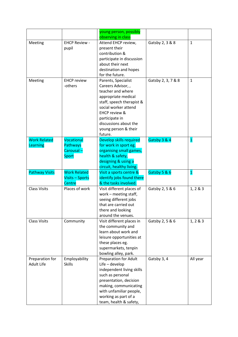|                                        |                                                             | young person, possibly<br>observing in class                                                                                                                                                                                                        |                                |                      |
|----------------------------------------|-------------------------------------------------------------|-----------------------------------------------------------------------------------------------------------------------------------------------------------------------------------------------------------------------------------------------------|--------------------------------|----------------------|
| Meeting                                | <b>EHCP Review -</b><br>pupil                               | Attend EHCP review,<br>present their<br>contribution &<br>participate in discussion<br>about their next<br>destination and hopes<br>for the future.                                                                                                 | Gatsby 2, 3 & 8                | $\mathbf{1}$         |
| Meeting                                | <b>EHCP</b> review<br>-others                               | Parents, Specialist<br>Careers Advisor,,<br>teacher and where<br>appropriate medical<br>staff, speech therapist &<br>social worker attend<br><b>EHCP review &amp;</b><br>participate in<br>discussions about the<br>young person & their<br>future. | Gatsby 2, 3, 7 & 8             | 1                    |
| <b>Work Related</b><br>Learning        | Vocational<br><b>Pathways</b><br>Carousal -<br><b>Sport</b> | Develop skills required<br>for work in sport eg.<br>organising small games,<br>health & safety,<br>designing & using a<br>circuit, healthy living.                                                                                                  | Gatsby 3 & 4                   | $\mathbf{1}$         |
| <b>Pathway Visits</b>                  | <b>Work Related</b><br><b>Visits - Sports</b><br>Centre     | Visit a sports centre &<br>identify jobs found there<br>& the tasks involved.                                                                                                                                                                       | Gatsby 5 & 6                   | $\mathbf{1}$         |
|                                        |                                                             |                                                                                                                                                                                                                                                     |                                |                      |
| <b>Class Visits</b>                    | Places of work                                              | Visit different places of<br>work - meeting staff,<br>seeing different jobs<br>that are carried out<br>there and looking<br>around the venues.                                                                                                      | Gatsby 2, 5 & 6                | 1, 2 & 3             |
| <b>Class Visits</b><br>Preparation for | Community<br>Employability                                  | Visit different places in<br>the community and<br>learn about work and<br>leisure opportunities at<br>these places eg.<br>supermarkets, tenpin<br>bowling alley, park.<br>Preparation for Adult                                                     | Gatsby 2, 5 & 6<br>Gatsby 3, 4 | 1, 2 & 3<br>All year |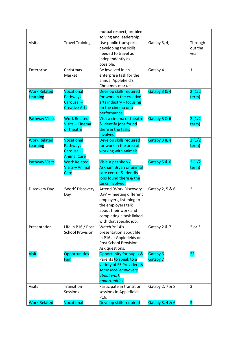|                       |                         | mutual respect, problem             |                 |                         |
|-----------------------|-------------------------|-------------------------------------|-----------------|-------------------------|
|                       |                         | solving and leadership.             |                 |                         |
| <b>Visits</b>         | <b>Travel Training</b>  | Use public transport,               | Gatsby 3, 4,    | Through-                |
|                       |                         | developing the skills               |                 | out the                 |
|                       |                         | needed to travel as                 |                 | year                    |
|                       |                         | independently as                    |                 |                         |
|                       |                         | possible.                           |                 |                         |
| Enterprise            | Christmas               | Be involved in an                   | Gatsby 4        | $\mathbf{1}$            |
|                       | Market                  | enterprise task for the             |                 |                         |
|                       |                         | annual Applefield's                 |                 |                         |
|                       |                         | Christmas market.                   |                 |                         |
| <b>Work Related</b>   | Vocational              | Develop skills required             | Gatsby 3 & 4    | 2(1/2)                  |
| Learning              | <b>Pathways</b>         | for work in the creative            |                 | term)                   |
|                       | Carousal-               | arts industry - focusing            |                 |                         |
|                       | <b>Creative Arts</b>    | on the cinema or a                  |                 |                         |
|                       |                         | performance.                        |                 |                         |
| <b>Pathway Visits</b> | <b>Work Related</b>     | Visit a cinema or theatre           | Gatsby 5 & 6    | 2(1/2)                  |
|                       | Visits - Cinema         | & identify jobs found               |                 | term)                   |
|                       | or theatre              | there & the tasks                   |                 |                         |
|                       |                         | involved.                           |                 |                         |
| <b>Work Related</b>   | Vocational              | Develop skills required             | Gatsby 3 & 4    | 2(1/2)                  |
| Learning              | Pathways                | for work in the area of             |                 | term)                   |
|                       | Carousal-               | working with animals                |                 |                         |
|                       | <b>Animal Care</b>      |                                     |                 |                         |
| <b>Pathway Visits</b> | <b>Work Related</b>     | Visit a pet shop /                  | Gatsby 5 & 6    | 2(1/2)                  |
|                       | Visits - Animal         | <b>Askham Bryan or animal</b>       |                 | term)                   |
|                       | Care                    | care centre & identify              |                 |                         |
|                       |                         | jobs found there & the              |                 |                         |
|                       |                         | tasks involved.                     |                 |                         |
| Discovery Day         | 'Work' Discovery        | <b>Attend 'Work Discovery</b>       | Gatsby 2, 5 & 6 | $\overline{2}$          |
|                       | Day                     | Day' - meeting different            |                 |                         |
|                       |                         | employers, listening to             |                 |                         |
|                       |                         | the employers talk                  |                 |                         |
|                       |                         | about their work and                |                 |                         |
|                       |                         | completing a task linked            |                 |                         |
|                       |                         | with that specific job.             |                 |                         |
| Presentation          | Life in P16 / Post      | Watch Yr 14's                       | Gatsby 2 & 7    | 2 or 3                  |
|                       | <b>School Provision</b> | presentation about life             |                 |                         |
|                       |                         | in P16 at Applefields or            |                 |                         |
|                       |                         | Post School Provision.              |                 |                         |
|                       |                         | Ask questions.                      |                 |                         |
| <b>Visit</b>          | <b>Opportunities</b>    | <b>Opportunity for pupils &amp;</b> | Gatsby 6        | 2?                      |
|                       | Fair                    | Parents to speak to a               | Gatsby 7        |                         |
|                       |                         | variety of FE Providers &           |                 |                         |
|                       |                         | some local employers                |                 |                         |
|                       |                         | about work                          |                 |                         |
|                       |                         | opportunities.                      |                 |                         |
| <b>Visits</b>         | Transition              | Participate in transition           | Gatsby 2, 7 & 8 | 3                       |
|                       | Sessions                | sessions in Applefields             |                 |                         |
|                       |                         | P16.                                |                 |                         |
| <b>Work Related</b>   | Vocational              | Develop skills required             | Gatsby 3, 4 & 6 | $\overline{\mathbf{3}}$ |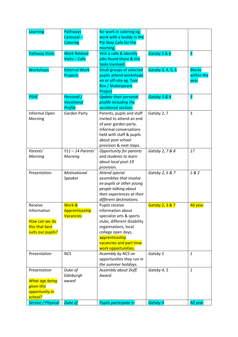| Learning                  | <b>Pathways</b>      | for work in catering eg.                        |                   |                         |
|---------------------------|----------------------|-------------------------------------------------|-------------------|-------------------------|
|                           | Carousal -           | work with a buddy in the                        |                   |                         |
|                           | Catering             | Pip Stop Cafe for the                           |                   |                         |
|                           |                      | morning.                                        |                   |                         |
| <b>Pathway Visits</b>     | <b>Work Related</b>  | Visit a cafe & identify                         | Gatsby 5 & 6      | $\overline{\mathbf{3}}$ |
|                           | Visits - Cafe        | jobs found there & the                          |                   |                         |
|                           |                      | tasks involved.                                 |                   |                         |
| <b>Workshops</b>          | <b>External Work</b> | <b>Small groups of selected</b>                 | Gatsby 3, 4, 5, 6 | <b>Blocks</b>           |
|                           | Projects             | pupils attend workshops                         |                   | within the              |
|                           |                      | on or off-site eg. Tool                         |                   | year                    |
|                           |                      | <b>Box / Shakespeare</b>                        |                   |                         |
|                           |                      | Project                                         |                   |                         |
| <b>PSHE</b>               | Personal /           | <b>Update their personal</b>                    | Gatsby 3 & 4      | $\overline{\mathbf{3}}$ |
|                           | Vocational           | profile including the                           |                   |                         |
|                           | Profile              | vocational section.                             |                   |                         |
| Informal Open             | <b>Garden Party</b>  | Parents, pupils and staff                       | Gatsby 2, 7       | 3                       |
| Morning                   |                      | invited to attend an end                        |                   |                         |
|                           |                      | of year garden party.                           |                   |                         |
|                           |                      | Informal conversations                          |                   |                         |
|                           |                      | held with staff & pupils                        |                   |                         |
|                           |                      | about post school                               |                   |                         |
|                           |                      | provision & next steps.                         |                   |                         |
| Parents'                  | $Y11 - 14$ Parents'  | Opportunity for parents                         | Gatsby 2, 7 & 8   | 1?                      |
| Morning                   | Morning              | and students to learn                           |                   |                         |
|                           |                      | about local post-19                             |                   |                         |
|                           |                      | provision.                                      |                   |                         |
| Presentation              | Motivational         | Attend special                                  | Gatsby 2, 5 & 7   | 1 & 2                   |
|                           | Speaker              | assemblies that involve                         |                   |                         |
|                           |                      | ex-pupils or other young                        |                   |                         |
|                           |                      | people talking about                            |                   |                         |
|                           |                      | their experiences at their                      |                   |                         |
|                           |                      | different destinations.                         |                   |                         |
| Receive                   | Work &               | Pupils receive                                  | Gatsby 2, 3 & 7   | <b>All year</b>         |
| Information               | Apprenticeship       | information about                               |                   |                         |
|                           | <b>Vacancies</b>     | specialist arts & sports                        |                   |                         |
| How can we do             |                      | clubs, different disability                     |                   |                         |
| this that best            |                      | organisations, local                            |                   |                         |
| suits our pupils?         |                      | college open days,                              |                   |                         |
|                           |                      | apprenticeship                                  |                   |                         |
|                           |                      | vacancies and part time                         |                   |                         |
|                           | <b>NCS</b>           | work opportunities.                             |                   | $\mathbf{1}$            |
| Presentation              |                      | Assembly by NCS on<br>opportunities they run in | Gatsby 5          |                         |
|                           |                      | the summer holidays.                            |                   |                         |
| Presentation              | Duke of              | Assembly about DofE                             | Gatsby 4, 5       | 1                       |
|                           | Edinburgh            | Award.                                          |                   |                         |
| <b>What age being</b>     | award                |                                                 |                   |                         |
| given this                |                      |                                                 |                   |                         |
| opportunity in            |                      |                                                 |                   |                         |
| school?                   |                      |                                                 |                   |                         |
| <b>Service / Physical</b> | <b>Duke of</b>       | Pupils participate in                           | <b>Gatsby 4</b>   | All year                |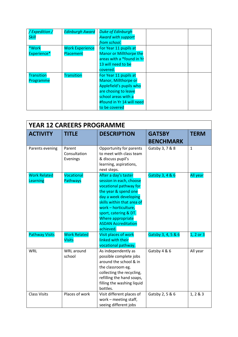| /Expedition/      | <b>Edinburgh Award</b> | <b>Duke of Edinburgh</b>  |  |
|-------------------|------------------------|---------------------------|--|
| <b>Skill</b>      |                        | <b>Award with support</b> |  |
|                   |                        | from school.              |  |
| *Work             | <b>Work Experience</b> | For Year 11 pupils at     |  |
| Experience*       | Placement              | Manor or Millthorpe the   |  |
|                   |                        | areas with a *found in Yr |  |
|                   |                        | 13 will need to be        |  |
|                   |                        | covered.                  |  |
| <b>Transition</b> | Transition             | For Year 11 pupils at     |  |
| Programme         |                        | Manor, Millthorpe or      |  |
|                   |                        | Applefield's pupils who   |  |
|                   |                        | are chosing to leave      |  |
|                   |                        | school areas with a       |  |
|                   |                        | #found in Yr 14 will need |  |
|                   |                        | to be covered             |  |

| <b>YEAR 12 CAREERS PROGRAMME</b> |                                      |                                                                                                                                                                                                                                                                           |                    |               |
|----------------------------------|--------------------------------------|---------------------------------------------------------------------------------------------------------------------------------------------------------------------------------------------------------------------------------------------------------------------------|--------------------|---------------|
| <b>ACTIVITY</b>                  | <b>TITLE</b>                         | <b>DESCRIPTION</b>                                                                                                                                                                                                                                                        | <b>GATSBY</b>      | <b>TERM</b>   |
|                                  |                                      |                                                                                                                                                                                                                                                                           | <b>BENCHMARK</b>   |               |
| Parents evening                  | Parent<br>Consultation<br>Evenings   | Opportunity for parents<br>to meet with class team<br>& discuss pupil's<br>learning, aspirations,<br>next steps.                                                                                                                                                          | Gatsby 3, 7 & 8    | $\mathbf{1}$  |
| <b>Work Related</b><br>Learning  | Vocational<br><b>Pathways</b>        | After a day's taster<br>session in each, choose<br>vocational pathway for<br>the year & spend one<br>day a week developing<br>skills within that area of<br>work - horticulture,<br>sport, catering & DT.<br>Where appropriate<br><b>ASDAN Accreditation</b><br>achieved. | Gatsby 3, 4 & 6    | All year      |
| <b>Pathway Visits</b>            | <b>Work Related</b><br><b>Visits</b> | Visit places of work<br>linked with their<br>vocational pathway.                                                                                                                                                                                                          | Gatsby 3, 4, 5 & 6 | $1, 2$ or $3$ |
| <b>WRL</b>                       | WRL around<br>school                 | As independently as<br>possible complete jobs<br>around the school & in<br>the classroom eg.<br>collecting the recycling,<br>refilling the hand soaps,<br>filling the washing liquid<br>bottles.                                                                          | Gatsby 4 & 6       | All year      |
| <b>Class Visits</b>              | Places of work                       | Visit different places of<br>work - meeting staff,<br>seeing different jobs                                                                                                                                                                                               | Gatsby 2, 5 & 6    | 1, 2 & 3      |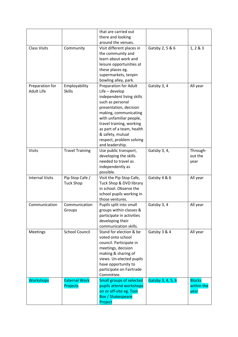|                        |                        | that are carried out            |                   |               |
|------------------------|------------------------|---------------------------------|-------------------|---------------|
|                        |                        | there and looking               |                   |               |
|                        |                        | around the venues.              |                   |               |
| <b>Class Visits</b>    | Community              | Visit different places in       | Gatsby 2, 5 & 6   | 1, 2 & 3      |
|                        |                        | the community and               |                   |               |
|                        |                        | learn about work and            |                   |               |
|                        |                        | leisure opportunities at        |                   |               |
|                        |                        | these places eg.                |                   |               |
|                        |                        | supermarkets, tenpin            |                   |               |
|                        |                        | bowling alley, park.            |                   |               |
| Preparation for        | Employability          | <b>Preparation for Adult</b>    | Gatsby 3, 4       | All year      |
| <b>Adult Life</b>      | <b>Skills</b>          | $Life$ – develop                |                   |               |
|                        |                        | independent living skills       |                   |               |
|                        |                        | such as personal                |                   |               |
|                        |                        | presentation, decision          |                   |               |
|                        |                        | making, communicating           |                   |               |
|                        |                        | with unfamiliar people,         |                   |               |
|                        |                        | travel training, working        |                   |               |
|                        |                        | as part of a team, health       |                   |               |
|                        |                        | & safety, mutual                |                   |               |
|                        |                        | respect, problem solving        |                   |               |
|                        |                        | and leadership.                 |                   |               |
| <b>Visits</b>          | <b>Travel Training</b> | Use public transport,           | Gatsby 3, 4,      | Through-      |
|                        |                        | developing the skills           |                   | out the       |
|                        |                        | needed to travel as             |                   | year          |
|                        |                        | independently as                |                   |               |
|                        |                        | possible.                       |                   |               |
| <b>Internal Visits</b> | Pip Stop Cafe /        | Visit the Pip Stop Cafe,        | Gatsby 4 & 6      | All year      |
|                        | <b>Tuck Shop</b>       | Tuck Shop & DVD library         |                   |               |
|                        |                        | in school. Observe the          |                   |               |
|                        |                        | school pupils working in        |                   |               |
|                        |                        | those ventures.                 |                   |               |
| Communication          | Communication          | Pupils split into small         | Gatsby 3, 4       | All year      |
|                        | Groups                 | groups within classes &         |                   |               |
|                        |                        | participate in activities       |                   |               |
|                        |                        | developing their                |                   |               |
|                        |                        | communication skills.           |                   |               |
| Meetings               | <b>School Council</b>  | Stand for election & be         | Gatsby 3 & 4      | All year      |
|                        |                        | voted onto school               |                   |               |
|                        |                        | council. Participate in         |                   |               |
|                        |                        | meetings, decision              |                   |               |
|                        |                        | making & sharing of             |                   |               |
|                        |                        | views. Un-elected pupils        |                   |               |
|                        |                        | have opportunity to             |                   |               |
|                        |                        | participate on Fairtrade        |                   |               |
|                        |                        | Committee.                      |                   |               |
| <b>Workshops</b>       | <b>External Work</b>   | <b>Small groups of selected</b> | Gatsby 3, 4, 5, 6 | <b>Blocks</b> |
|                        | Projects               | pupils attend workshops         |                   | within the    |
|                        |                        | on or off-site eg. Tool         |                   | year          |
|                        |                        | <b>Box / Shakespeare</b>        |                   |               |
|                        |                        |                                 |                   |               |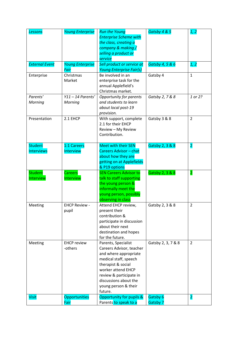| <b>Lessons</b>        | <b>Young Enterprise</b>         | <b>Run the Young</b>                                          | Gatsby 4 & 5       | 1, 2                    |
|-----------------------|---------------------------------|---------------------------------------------------------------|--------------------|-------------------------|
|                       |                                 | <b>Enterprise Scheme with</b><br>the class, creating a        |                    |                         |
|                       |                                 | company & making /                                            |                    |                         |
|                       |                                 | selling a product or                                          |                    |                         |
|                       |                                 | service                                                       |                    |                         |
| <b>External Event</b> | <b>Young Enterprise</b><br>Fair | Sell product or service at<br><b>Young Enterprise Fair(s)</b> | Gatsby 4, 5 & 6    | 1, 2                    |
| Enterprise            | Christmas                       | Be involved in an                                             | Gatsby 4           | $\mathbf{1}$            |
|                       | Market                          | enterprise task for the<br>annual Applefield's                |                    |                         |
|                       |                                 | Christmas market.                                             |                    |                         |
| Parents'              | $Y11 - 14$ Parents'             | <b>Opportunity for parents</b>                                | Gatsby 2, 7 & 8    | 1 or 2?                 |
| Morning               | Morning                         | and students to learn                                         |                    |                         |
|                       |                                 | about local post-19                                           |                    |                         |
|                       |                                 | provision.                                                    |                    |                         |
| Presentation          | 2.1 EHCP                        | With support, complete                                        | Gatsby 3 & 8       | $\overline{2}$          |
|                       |                                 | 2.1 for their EHCP<br>Review - My Review                      |                    |                         |
|                       |                                 | Contribution.                                                 |                    |                         |
|                       |                                 |                                                               |                    |                         |
| <b>Student</b>        | 1:1 Careers                     | <b>Meet with their SEN</b>                                    | Gatsby 2, 3 & 8    | $\overline{2}$          |
| <b>Interviews</b>     | Interview                       | <b>Careers Advisor - chat</b>                                 |                    |                         |
|                       |                                 | about how they are                                            |                    |                         |
|                       |                                 | getting on at Applefields<br>& P19 options                    |                    |                         |
| <b>Student</b>        | <b>Careers</b>                  | <b>SEN Careers Advisor to</b>                                 | Gatsby 2, 3 & 8    | $\overline{\mathbf{2}}$ |
| Interview             | Interview                       | talk to staff supporting                                      |                    |                         |
|                       |                                 | the young person &                                            |                    |                         |
|                       |                                 | informally meet the                                           |                    |                         |
|                       |                                 | young person, possibly                                        |                    |                         |
| Meeting               | <b>EHCP Review -</b>            | observing in class<br>Attend EHCP review,                     | Gatsby 2, 3 & 8    | $\overline{2}$          |
|                       | pupil                           | present their                                                 |                    |                         |
|                       |                                 | contribution &                                                |                    |                         |
|                       |                                 | participate in discussion                                     |                    |                         |
|                       |                                 | about their next                                              |                    |                         |
|                       |                                 | destination and hopes                                         |                    |                         |
|                       | <b>EHCP</b> review              | for the future.<br>Parents, Specialist                        | Gatsby 2, 3, 7 & 8 | 2                       |
| Meeting               | -others                         | Careers Advisor, teacher                                      |                    |                         |
|                       |                                 | and where appropriate                                         |                    |                         |
|                       |                                 | medical staff, speech                                         |                    |                         |
|                       |                                 | therapist & social                                            |                    |                         |
|                       |                                 | worker attend EHCP                                            |                    |                         |
|                       |                                 | review & participate in                                       |                    |                         |
|                       |                                 | discussions about the<br>young person & their                 |                    |                         |
|                       |                                 | future.                                                       |                    |                         |
| <b>Visit</b>          | Opportunities                   | <b>Opportunity for pupils &amp;</b>                           | Gatsby 6           | $\overline{2}$          |
|                       | Fair                            | Parents to speak to a                                         | <b>Gatsby 7</b>    |                         |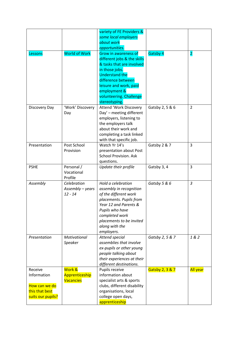|                   |                      | variety of FE Providers &    |                 |                |
|-------------------|----------------------|------------------------------|-----------------|----------------|
|                   |                      | some local employers         |                 |                |
|                   |                      | about work                   |                 |                |
|                   |                      | opportunities.               |                 |                |
| Lessons           | <b>World of Work</b> | <b>Grow in awareness of</b>  | Gatsby 4        | $\overline{2}$ |
|                   |                      | different jobs & the skills  |                 |                |
|                   |                      | & tasks that are involved    |                 |                |
|                   |                      | in those jobs.               |                 |                |
|                   |                      | <b>Understand the</b>        |                 |                |
|                   |                      | difference between           |                 |                |
|                   |                      | leisure and work, paid       |                 |                |
|                   |                      | employment &                 |                 |                |
|                   |                      | volunteering. Challenge      |                 |                |
|                   |                      | stereotyping.                |                 |                |
| Discovery Day     | 'Work' Discovery     | Attend 'Work Discovery       | Gatsby 2, 5 & 6 | 2              |
|                   | Day                  | Day' - meeting different     |                 |                |
|                   |                      | employers, listening to      |                 |                |
|                   |                      | the employers talk           |                 |                |
|                   |                      | about their work and         |                 |                |
|                   |                      | completing a task linked     |                 |                |
|                   |                      | with that specific job.      |                 |                |
| Presentation      | Post School          | Watch Yr 14's                | Gatsby 2 & 7    | 3              |
|                   | Provision            | presentation about Post      |                 |                |
|                   |                      | <b>School Provision. Ask</b> |                 |                |
|                   |                      | questions.                   |                 |                |
| <b>PSHE</b>       | Personal /           | Update their profile         | Gatsby 3, 4     | 3              |
|                   | Vocational           |                              |                 |                |
|                   | Profile              |                              |                 |                |
| Assembly          | Celebration          | Hold a celebration           | Gatsby 5 & 6    | $\mathfrak{Z}$ |
|                   | Assembly - years     | assembly in recognition      |                 |                |
|                   | $12 - 14$            | of the different work        |                 |                |
|                   |                      | placements. Pupils from      |                 |                |
|                   |                      | Year 12 and Parents &        |                 |                |
|                   |                      | Pupils who have              |                 |                |
|                   |                      | completed work               |                 |                |
|                   |                      | placements to be invited     |                 |                |
|                   |                      | along with the               |                 |                |
|                   |                      | employers.                   |                 |                |
| Presentation      | Motivational         | Attend special               | Gatsby 2, 5 & 7 | 182            |
|                   | Speaker              | assemblies that involve      |                 |                |
|                   |                      | ex-pupils or other young     |                 |                |
|                   |                      | people talking about         |                 |                |
|                   |                      | their experiences at their   |                 |                |
|                   |                      | different destinations.      |                 |                |
| Receive           | Work &               | Pupils receive               | Gatsby 2, 3 & 7 | All year       |
| Information       | Apprenticeship       | information about            |                 |                |
|                   | <b>Vacancies</b>     | specialist arts & sports     |                 |                |
| How can we do     |                      | clubs, different disability  |                 |                |
| this that best    |                      | organisations, local         |                 |                |
| suits our pupils? |                      | college open days,           |                 |                |
|                   |                      | apprenticeship               |                 |                |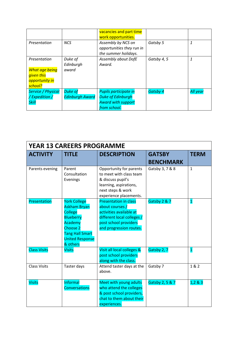|                                                                                  |                                          | vacancies and part time<br>work opportunities.                                                 |             |                 |
|----------------------------------------------------------------------------------|------------------------------------------|------------------------------------------------------------------------------------------------|-------------|-----------------|
| Presentation                                                                     | <b>NCS</b>                               | Assembly by NCS on<br>opportunities they run in<br>the summer holidays.                        | Gatsby 5    | $\mathbf{1}$    |
| Presentation<br><b>What age being</b><br>given this<br>opportunity in<br>school? | Duke of<br>Edinburgh<br>award            | Assembly about DofE<br>Award.                                                                  | Gatsby 4, 5 | $\mathbf{1}$    |
| Service / Physical<br>/Expedition /<br><b>Skill</b>                              | <b>Duke of</b><br><b>Edinburgh Award</b> | Pupils participate in<br><b>Duke of Edinburgh</b><br><b>Award with support</b><br>from school. | Gatsby 4    | <b>All year</b> |

| <b>YEAR 13 CAREERS PROGRAMME</b> |                                                                                                                                                                         |                                                                                                                                                              |                                   |                         |
|----------------------------------|-------------------------------------------------------------------------------------------------------------------------------------------------------------------------|--------------------------------------------------------------------------------------------------------------------------------------------------------------|-----------------------------------|-------------------------|
| <b>ACTIVITY</b>                  | <b>TITLE</b>                                                                                                                                                            | <b>DESCRIPTION</b>                                                                                                                                           | <b>GATSBY</b><br><b>BENCHMARK</b> | <b>TERM</b>             |
| Parents evening                  | Parent<br>Consultation<br>Evenings                                                                                                                                      | Opportunity for parents<br>to meet with class team<br>& discuss pupil's<br>learning, aspirations,<br>next steps & work<br>experience placements.             | Gatsby 3, 7 & 8                   | $\mathbf{1}$            |
| Presentation                     | <b>York College</b><br><b>Askham Bryan</b><br><b>College</b><br><b>Blueberry</b><br>Academy<br>Choose 2<br><b>Tang Hall Smart</b><br><b>United Response</b><br>& others | <b>Presentation in class</b><br>about courses /<br>activities available at<br>different local colleges /<br>post school providers<br>and progression routes. | Gatsby 2 & 7                      | $\overline{\mathbf{1}}$ |
| <b>Class Visits</b>              | <b>Visits</b>                                                                                                                                                           | Visit all local colleges &<br>post school providers<br>along with the class.                                                                                 | Gatsby 2, 7                       | $\overline{\mathbf{1}}$ |
| <b>Class Visits</b>              | Taster days                                                                                                                                                             | Attend taster days at the<br>above.                                                                                                                          | Gatsby 7                          | 1&2                     |
| <b>Visits</b>                    | Informal<br><b>Conversations</b>                                                                                                                                        | Meet with young adults<br>who attend the colleges<br>& post school providers,<br>chat to them about their<br>experiences.                                    | Gatsby 2, 5 & 7                   | 1,2 & 3                 |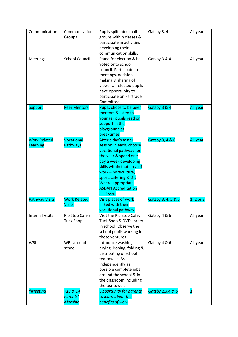| Communication                   | Communication<br>Groups                | Pupils split into small<br>groups within classes &<br>participate in activities<br>developing their<br>communication skills.                                                                                                                                              | Gatsby 3, 4        | All year     |
|---------------------------------|----------------------------------------|---------------------------------------------------------------------------------------------------------------------------------------------------------------------------------------------------------------------------------------------------------------------------|--------------------|--------------|
| Meetings                        | <b>School Council</b>                  | Stand for election & be<br>voted onto school<br>council. Participate in<br>meetings, decision<br>making & sharing of<br>views. Un-elected pupils<br>have opportunity to<br>participate on Fairtrade<br>Committee.                                                         | Gatsby 3 & 4       | All year     |
| <b>Support</b>                  | <b>Peer Mentors</b>                    | Pupils chose to be peer<br>mentors & listen to<br>younger pupils read or<br>support in the<br>playground at<br>breaktimes.                                                                                                                                                | Gatsby 3 & 4       | All year     |
| <b>Work Related</b><br>Learning | Vocational<br><b>Pathways</b>          | After a day's taster<br>session in each, choose<br>vocational pathway for<br>the year & spend one<br>day a week developing<br>skills within that area of<br>work - horticulture,<br>sport, catering & DT.<br>Where appropriate<br><b>ASDAN Accreditation</b><br>achieved. | Gatsby 3, 4 & 6    | All year     |
| <b>Pathway Visits</b>           | <b>Work Related</b><br><b>Visits</b>   | Visit places of work<br>linked with their<br>vocational pathway.                                                                                                                                                                                                          | Gatsby 3, 4, 5 & 6 | 1, 2 or 3    |
| <b>Internal Visits</b>          | Pip Stop Cafe /<br><b>Tuck Shop</b>    | Visit the Pip Stop Cafe,<br>Tuck Shop & DVD library<br>in school. Observe the<br>school pupils working in<br>those ventures.                                                                                                                                              | Gatsby 4 & 6       | All year     |
| <b>WRL</b>                      | WRL around<br>school                   | Introduce washing,<br>drying, ironing, folding &<br>distributing of school<br>tea-towels. As<br>independently as<br>possible complete jobs<br>around the school & in<br>the classroom including<br>the tea-towels.                                                        | Gatsby 4 & 6       | All year     |
| <i>*Meeting</i>                 | Y13 & 14<br>Parents'<br><b>Morning</b> | <b>Opportunity for parents</b><br>to learn about the<br>benefits of work                                                                                                                                                                                                  | Gatsby 2,3,4 & 6   | $\mathbf{1}$ |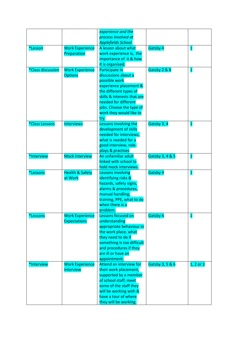|                        |                            | experience and the          |                 |                         |
|------------------------|----------------------------|-----------------------------|-----------------|-------------------------|
|                        |                            | process involved at         |                 |                         |
|                        |                            | Applefields School.         |                 |                         |
| *Lesson                | <b>Work Experience</b>     | A lesson about what         | Gatsby 4        | $\overline{\mathbf{1}}$ |
|                        | Preparation                | work experience is, the     |                 |                         |
|                        |                            | importance of it & how      |                 |                         |
|                        |                            | it is organised.            |                 |                         |
| *Class discussion      | <b>Work Experience</b>     | Participate in              | Gatsby 2 & 8    | $\overline{\mathbf{1}}$ |
|                        | <b>Options</b>             | discussions about a         |                 |                         |
|                        |                            | possible work               |                 |                         |
|                        |                            | experience placement &      |                 |                         |
|                        |                            | the different types of      |                 |                         |
|                        |                            | skills & interests that are |                 |                         |
|                        |                            | needed for different        |                 |                         |
|                        |                            | jobs. Choose the type of    |                 |                         |
|                        |                            | work they would like to     |                 |                         |
|                        |                            | try.                        |                 |                         |
| *Class Lessons         | <b>Interviews</b>          | Lessons involving the       | Gatsby 3, 4     | $\mathbf{1}$            |
|                        |                            | development of skills       |                 |                         |
|                        |                            | needed for interviews,      |                 |                         |
|                        |                            | what is needed for a        |                 |                         |
|                        |                            | good interview, role-       |                 |                         |
|                        |                            | plays & practises           |                 |                         |
| *Interview             | <b>Mock Interview</b>      | An unfamiliar adult         | Gatsby 3, 4 & 5 | $\mathbf{1}$            |
|                        |                            | linked with school to       |                 |                         |
|                        |                            | hold mock interviews.       |                 |                         |
| <i><b>*Lessons</b></i> | <b>Health &amp; Safety</b> | Lessons involving           | Gatsby 4        | $\mathbf{1}$            |
|                        | at Work                    | identifying risks &         |                 |                         |
|                        |                            | hazards, safety signs,      |                 |                         |
|                        |                            | alarms & procedures,        |                 |                         |
|                        |                            | manual handling,            |                 |                         |
|                        |                            | training, PPE, what to do   |                 |                         |
|                        |                            | when there is a             |                 |                         |
|                        |                            | problem.                    |                 |                         |
| <i><b>*Lessons</b></i> | <b>Work Experience</b>     | Lessons focused on          | Gatsby 4        | $\mathbf{1}$            |
|                        | <b>Expectations</b>        | understanding               |                 |                         |
|                        |                            | appropriate behaviour in    |                 |                         |
|                        |                            | the work place, what        |                 |                         |
|                        |                            | they need to do if          |                 |                         |
|                        |                            | something is too difficult  |                 |                         |
|                        |                            | and procedures if they      |                 |                         |
|                        |                            | are ill or have an          |                 |                         |
|                        |                            | appointment.                |                 |                         |
| *Interview             | <b>Work Experience</b>     | Attend an interview for     | Gatsby 3, 5 & 6 | 1, 2 or 3               |
|                        | Interview                  | their work placement,       |                 |                         |
|                        |                            | supported by a member       |                 |                         |
|                        |                            | of school staff, meet       |                 |                         |
|                        |                            | some of the staff they      |                 |                         |
|                        |                            | will be working with &      |                 |                         |
|                        |                            | have a tour of where        |                 |                         |
|                        |                            | they will be working.       |                 |                         |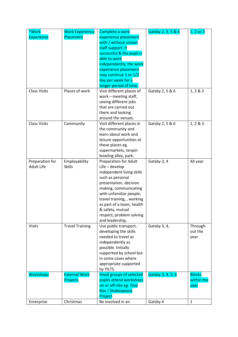| *Work                                | <b>Work Experience</b>         | Complete a work                           | Gatsby 2, 3, 5 & 6 | 1, 2 or 3     |
|--------------------------------------|--------------------------------|-------------------------------------------|--------------------|---------------|
| <b>Experience</b>                    | Placement                      | experience placement                      |                    |               |
|                                      |                                | with / without school                     |                    |               |
|                                      |                                | staff support. If                         |                    |               |
|                                      |                                | successful & the pupil is                 |                    |               |
|                                      |                                | able to work                              |                    |               |
|                                      |                                | independently, the work                   |                    |               |
|                                      |                                | experience placement                      |                    |               |
|                                      |                                | may continue 1 or 1/2                     |                    |               |
|                                      |                                | day per week for a                        |                    |               |
|                                      |                                | longer period of time.                    |                    |               |
| <b>Class Visits</b>                  | Places of work                 | Visit different places of                 | Gatsby 2, 5 & 6    | 1, 2 & 3      |
|                                      |                                | work - meeting staff,                     |                    |               |
|                                      |                                | seeing different jobs                     |                    |               |
|                                      |                                | that are carried out                      |                    |               |
|                                      |                                | there and looking                         |                    |               |
|                                      |                                | around the venues.                        |                    |               |
| <b>Class Visits</b>                  | Community                      | Visit different places in                 | Gatsby 2, 5 & 6    | 1, 2 & 3      |
|                                      |                                | the community and                         |                    |               |
|                                      |                                | learn about work and                      |                    |               |
|                                      |                                | leisure opportunities at                  |                    |               |
|                                      |                                | these places eg.                          |                    |               |
|                                      |                                | supermarkets, tenpin                      |                    |               |
|                                      |                                | bowling alley, park.                      |                    |               |
| Preparation for<br><b>Adult Life</b> | Employability<br><b>Skills</b> | Preparation for Adult<br>$Life$ – develop | Gatsby 3, 4        | All year      |
|                                      |                                | independent living skills                 |                    |               |
|                                      |                                | such as personal                          |                    |               |
|                                      |                                | presentation, decision                    |                    |               |
|                                      |                                | making, communicating                     |                    |               |
|                                      |                                | with unfamiliar people,                   |                    |               |
|                                      |                                | travel training, , working                |                    |               |
|                                      |                                | as part of a team, health                 |                    |               |
|                                      |                                | & safety, mutual                          |                    |               |
|                                      |                                | respect, problem solving                  |                    |               |
|                                      |                                | and leadership.                           |                    |               |
| <b>Visits</b>                        | <b>Travel Training</b>         | Use public transport,                     | Gatsby 3, 4,       | Through-      |
|                                      |                                | developing the skills                     |                    | out the       |
|                                      |                                | needed to travel as                       |                    | year          |
|                                      |                                | independently as                          |                    |               |
|                                      |                                | possible. Initially                       |                    |               |
|                                      |                                | supported by school but                   |                    |               |
|                                      |                                | in some cases where                       |                    |               |
|                                      |                                | appropriate supported                     |                    |               |
|                                      |                                | by YILTS.                                 |                    |               |
| <b>Workshops</b>                     | <b>External Work</b>           | <b>Small groups of selected</b>           | Gatsby 3, 4, 5, 6  | <b>Blocks</b> |
|                                      | Projects                       | pupils attend workshops                   |                    | within the    |
|                                      |                                | on or off-site eg. Tool                   |                    | year          |
|                                      |                                | <b>Box / Shakespeare</b>                  |                    |               |
|                                      |                                | Project                                   |                    |               |
| Enterprise                           | Christmas                      | Be involved in an                         | Gatsby 4           | $\mathbf{1}$  |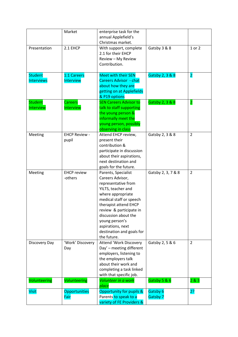|                   | Market               | enterprise task for the       |                    |                         |
|-------------------|----------------------|-------------------------------|--------------------|-------------------------|
|                   |                      | annual Applefield's           |                    |                         |
|                   |                      | Christmas market.             |                    |                         |
| Presentation      | 2.1 EHCP             | With support, complete        | Gatsby 3 & 8       | 1 or 2                  |
|                   |                      | 2.1 for their EHCP            |                    |                         |
|                   |                      | Review - My Review            |                    |                         |
|                   |                      | Contribution.                 |                    |                         |
|                   |                      |                               |                    |                         |
| <b>Student</b>    | 1:1 Careers          | <b>Meet with their SEN</b>    | Gatsby 2, 3 & 8    | $\overline{\mathbf{2}}$ |
| <b>Interviews</b> | Interview            | <b>Careers Advisor - chat</b> |                    |                         |
|                   |                      | about how they are            |                    |                         |
|                   |                      | getting on at Applefields     |                    |                         |
|                   |                      | & P19 options                 |                    |                         |
| <b>Student</b>    | <b>Careers</b>       | <b>SEN Careers Advisor to</b> | Gatsby 2, 3 & 8    | $\overline{\mathbf{2}}$ |
| Interview         | Interview            | talk to staff supporting      |                    |                         |
|                   |                      | the young person &            |                    |                         |
|                   |                      | informally meet the           |                    |                         |
|                   |                      | young person, possibly        |                    |                         |
|                   |                      | observing in class            |                    |                         |
| Meeting           | <b>EHCP Review -</b> | Attend EHCP review,           | Gatsby 2, 3 & 8    | $\overline{2}$          |
|                   | pupil                | present their                 |                    |                         |
|                   |                      | contribution &                |                    |                         |
|                   |                      | participate in discussion     |                    |                         |
|                   |                      | about their aspirations,      |                    |                         |
|                   |                      | next destination and          |                    |                         |
|                   |                      | goals for the future.         |                    |                         |
|                   | <b>EHCP</b> review   |                               |                    | $\overline{2}$          |
| Meeting           | -others              | Parents, Specialist           | Gatsby 2, 3, 7 & 8 |                         |
|                   |                      | Careers Advisor,              |                    |                         |
|                   |                      | representative from           |                    |                         |
|                   |                      | YILTS, teacher and            |                    |                         |
|                   |                      | where appropriate             |                    |                         |
|                   |                      | medical staff or speech       |                    |                         |
|                   |                      | therapist attend EHCP         |                    |                         |
|                   |                      | review & participate in       |                    |                         |
|                   |                      | discussion about the          |                    |                         |
|                   |                      | young person's                |                    |                         |
|                   |                      | aspirations, next             |                    |                         |
|                   |                      | destination and goals for     |                    |                         |
|                   |                      | the future.                   |                    |                         |
| Discovery Day     | 'Work' Discovery     | Attend 'Work Discovery        | Gatsby 2, 5 & 6    | $\overline{2}$          |
|                   | Day                  | Day' - meeting different      |                    |                         |
|                   |                      | employers, listening to       |                    |                         |
|                   |                      | the employers talk            |                    |                         |
|                   |                      | about their work and          |                    |                         |
|                   |                      | completing a task linked      |                    |                         |
|                   |                      | with that specific job.       |                    |                         |
| Volunteering      | Volunteering         | Volunteer in a work           | Gatsby 5 & 6       | 2 & 3                   |
|                   |                      | place                         |                    |                         |
| <b>Visit</b>      | Opportunities        | Opportunity for pupils &      | Gatsby 6           | 2?                      |
|                   | Fair                 | Parents to speak to a         | Gatsby 7           |                         |
|                   |                      | variety of FE Providers &     |                    |                         |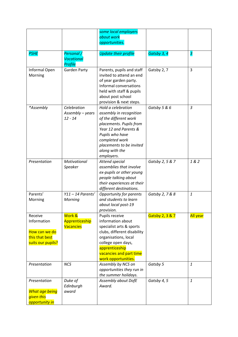|                       |                              | some local employers                          |                 |                 |
|-----------------------|------------------------------|-----------------------------------------------|-----------------|-----------------|
|                       |                              | about work                                    |                 |                 |
|                       |                              | opportunities.                                |                 |                 |
| <b>PSHE</b>           | Personal /                   | <b>Update their profile</b>                   | Gatsby 3, 4     | 3               |
|                       | <b>Vocational</b><br>Profile |                                               |                 |                 |
| Informal Open         | <b>Garden Party</b>          | Parents, pupils and staff                     | Gatsby 2, 7     | 3               |
| Morning               |                              | invited to attend an end                      |                 |                 |
|                       |                              | of year garden party.                         |                 |                 |
|                       |                              | Informal conversations                        |                 |                 |
|                       |                              | held with staff & pupils                      |                 |                 |
|                       |                              | about post school                             |                 |                 |
| *Assembly             | Celebration                  | provision & next steps.<br>Hold a celebration | Gatsby 5 & 6    | $\overline{3}$  |
|                       | Assembly - years             | assembly in recognition                       |                 |                 |
|                       | $12 - 14$                    | of the different work                         |                 |                 |
|                       |                              | placements. Pupils from                       |                 |                 |
|                       |                              | Year 12 and Parents &                         |                 |                 |
|                       |                              | Pupils who have                               |                 |                 |
|                       |                              | completed work                                |                 |                 |
|                       |                              | placements to be invited                      |                 |                 |
|                       |                              | along with the                                |                 |                 |
|                       |                              | employers.                                    |                 |                 |
| Presentation          | Motivational                 | Attend special                                | Gatsby 2, 5 & 7 | 1&2             |
|                       | Speaker                      | assemblies that involve                       |                 |                 |
|                       |                              | ex-pupils or other young                      |                 |                 |
|                       |                              | people talking about                          |                 |                 |
|                       |                              | their experiences at their                    |                 |                 |
|                       |                              | different destinations.                       |                 |                 |
| Parents'              | $Y11 - 14$ Parents'          | Opportunity for parents                       | Gatsby 2, 7 & 8 | $\mathbf{1}$    |
| Morning               | Morning                      | and students to learn                         |                 |                 |
|                       |                              | about local post-19                           |                 |                 |
| Receive               | Work &                       | provision.                                    |                 |                 |
| Information           | Apprenticeship               | Pupils receive<br>information about           | Gatsby 2, 3 & 7 | <b>All year</b> |
|                       | <b>Vacancies</b>             | specialist arts & sports                      |                 |                 |
| How can we do         |                              | clubs, different disability                   |                 |                 |
| this that best        |                              | organisations, local                          |                 |                 |
| suits our pupils?     |                              | college open days,                            |                 |                 |
|                       |                              | apprenticeship                                |                 |                 |
|                       |                              | vacancies and part time                       |                 |                 |
|                       |                              | work opportunities.                           |                 |                 |
| Presentation          | <b>NCS</b>                   | Assembly by NCS on                            | Gatsby 5        | $\mathbf{1}$    |
|                       |                              | opportunities they run in                     |                 |                 |
|                       |                              | the summer holidays.                          |                 |                 |
| Presentation          | Duke of                      | Assembly about DofE                           | Gatsby 4, 5     | $\mathbf{1}$    |
|                       | Edinburgh                    | Award.                                        |                 |                 |
| <b>What age being</b> | award                        |                                               |                 |                 |
| given this            |                              |                                               |                 |                 |
| opportunity in        |                              |                                               |                 |                 |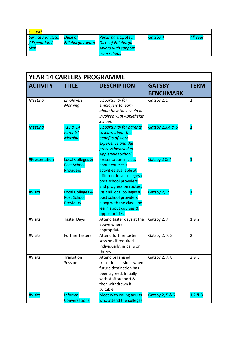| <mark>school?</mark> |                        |                           |          |          |
|----------------------|------------------------|---------------------------|----------|----------|
| Service / Physical   | Duke of                | Pupils participate in     | Gatsby 4 | All year |
| /Expedition /        | <b>Edinburgh Award</b> | <b>Duke of Edinburgh</b>  |          |          |
| <b>Skill</b>         |                        | <b>Award with support</b> |          |          |
|                      |                        | from school.              |          |          |

| <b>YEAR 14 CAREERS PROGRAMME</b> |                                                            |                                                                                                                                                              |                  |                         |
|----------------------------------|------------------------------------------------------------|--------------------------------------------------------------------------------------------------------------------------------------------------------------|------------------|-------------------------|
| <b>ACTIVITY</b>                  | <b>TITLE</b>                                               | <b>DESCRIPTION</b>                                                                                                                                           | <b>GATSBY</b>    | <b>TERM</b>             |
|                                  |                                                            |                                                                                                                                                              | <b>BENCHMARK</b> |                         |
| Meeting                          | <b>Employers</b><br>Morning                                | Opportunity for<br>employers to learn<br>about how they could be<br>involved with Applefields<br>School.                                                     | Gatsby 2, 5      | $\mathbf{1}$            |
| <b>Meeting</b>                   | Y13 & 14<br>Parents'<br><b>Morning</b>                     | <b>Opportunity for parents</b><br>to learn about the<br>benefits of work<br>experience and the<br>process involved at<br>Applefields School.                 | Gatsby 2,3,4 & 6 | $\overline{\mathbf{1}}$ |
| <b>#Presentation</b>             | Local Colleges &<br><b>Post School</b><br><b>Providers</b> | <b>Presentation in class</b><br>about courses /<br>activities available at<br>different local colleges /<br>post school providers<br>and progression routes. | Gatsby 2 & 7     | $\mathbf{1}$            |
| #Visits                          | Local Colleges &<br><b>Post School</b><br><b>Providers</b> | Visit all local colleges &<br>post school providers<br>along with the class and<br>learn about courses &<br>opportunities.                                   | Gatsby 2, 7      | $\overline{\mathbf{1}}$ |
| #Visits                          | <b>Taster Days</b>                                         | Attend taster days at the<br>above where<br>appropriate.                                                                                                     | Gatsby 2, 7      | 1 & 2                   |
| #Visits                          | <b>Further Tasters</b>                                     | Attend further taster<br>sessions if required<br>individually, in pairs or<br>threes.                                                                        | Gatsby 2, 7, 8   | $\overline{2}$          |
| #Visits                          | Transition<br>Sessions                                     | Attend organised<br>transition sessions when<br>future destination has<br>been agreed. Initially<br>with staff support &<br>then withdrawn if<br>suitable.   | Gatsby 2, 7, 8   | 2 & 3                   |
| #Visits                          | Informal<br><b>Conversations</b>                           | Meet with young adults<br>who attend the colleges                                                                                                            | Gatsby 2, 5 & 7  | 1,2 & 8 & 3             |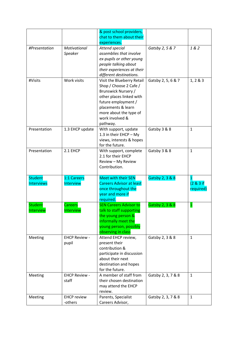|                   |                      | & post school providers,        |                    |                |
|-------------------|----------------------|---------------------------------|--------------------|----------------|
|                   |                      | chat to them about their        |                    |                |
|                   |                      | experiences.                    |                    |                |
| #Presentation     | Motivational         | Attend special                  | Gatsby 2, 5 & 7    | 1 & 2          |
|                   | Speaker              | assemblies that involve         |                    |                |
|                   |                      | ex-pupils or other young        |                    |                |
|                   |                      | people talking about            |                    |                |
|                   |                      | their experiences at their      |                    |                |
|                   |                      | different destinations.         |                    |                |
| #Visits           | Work visits          | Visit the Blueberry Retail      | Gatsby 2, 5, 6 & 7 | 1, 2 & 3       |
|                   |                      | Shop / Choose 2 Cafe /          |                    |                |
|                   |                      | Brunswick Nursery /             |                    |                |
|                   |                      | other places linked with        |                    |                |
|                   |                      | future employment /             |                    |                |
|                   |                      | placements & learn              |                    |                |
|                   |                      | more about the type of          |                    |                |
|                   |                      | work involved &                 |                    |                |
|                   |                      | pathway.                        |                    |                |
| Presentation      | 1.3 EHCP update      | With support, update            | Gatsby 3 & 8       | $\mathbf{1}$   |
|                   |                      | 1.3 in their EHCP - My          |                    |                |
|                   |                      | views, interests & hopes        |                    |                |
|                   |                      | for the future.                 |                    |                |
| Presentation      | 2.1 EHCP             | With support, complete          | Gatsby 3 & 8       | $\mathbf{1}$   |
|                   |                      | 2.1 for their EHCP              |                    |                |
|                   |                      | Review - My Review              |                    |                |
|                   |                      | Contribution.                   |                    |                |
|                   |                      |                                 |                    |                |
| <b>Student</b>    | 1:1 Careers          | <b>Meet with their SEN</b>      | Gatsby 2, 3 & 8    | 1              |
| <b>Interviews</b> | Interview            | <b>Careers Advisor at least</b> |                    | $(2 & 8)$ 3 if |
|                   |                      | once throughout the             |                    | required)      |
|                   |                      | year and more if                |                    |                |
|                   |                      | required.                       |                    |                |
| <b>Student</b>    | <b>Careers</b>       | <b>SEN Careers Advisor to</b>   | Gatsby 2, 3 & 8    | $\mathbf{1}$   |
| Interview         | Interview            | talk to staff supporting        |                    |                |
|                   |                      | the young person &              |                    |                |
|                   |                      | informally meet the             |                    |                |
|                   |                      | young person, possibly          |                    |                |
|                   |                      | observing in class              |                    |                |
| Meeting           | <b>EHCP Review -</b> | Attend EHCP review,             | Gatsby 2, 3 & 8    | $\mathbf{1}$   |
|                   | pupil                | present their                   |                    |                |
|                   |                      | contribution &                  |                    |                |
|                   |                      | participate in discussion       |                    |                |
|                   |                      | about their next                |                    |                |
|                   |                      | destination and hopes           |                    |                |
|                   |                      | for the future.                 |                    |                |
| Meeting           | <b>EHCP Review -</b> | A member of staff from          | Gatsby 2, 3, 7 & 8 | $\mathbf{1}$   |
|                   | staff                | their chosen destination        |                    |                |
|                   |                      | may attend the EHCP             |                    |                |
|                   |                      | review.                         |                    |                |
| Meeting           |                      |                                 |                    |                |
|                   | <b>EHCP</b> review   | Parents, Specialist             | Gatsby 2, 3, 7 & 8 | $\mathbf{1}$   |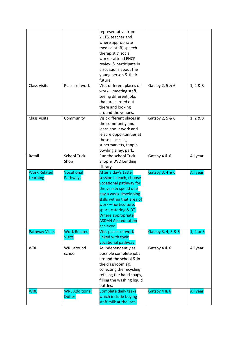|                       |                       | representative from                                     |                    |              |
|-----------------------|-----------------------|---------------------------------------------------------|--------------------|--------------|
|                       |                       | YILTS, teacher and                                      |                    |              |
|                       |                       | where appropriate                                       |                    |              |
|                       |                       | medical staff, speech                                   |                    |              |
|                       |                       | therapist & social                                      |                    |              |
|                       |                       | worker attend EHCP                                      |                    |              |
|                       |                       | review & participate in                                 |                    |              |
|                       |                       | discussions about the                                   |                    |              |
|                       |                       | young person & their                                    |                    |              |
|                       |                       | future.                                                 |                    |              |
| <b>Class Visits</b>   | Places of work        | Visit different places of                               | Gatsby 2, 5 & 6    | 1, 2 & 8 & 3 |
|                       |                       | work - meeting staff,                                   |                    |              |
|                       |                       | seeing different jobs                                   |                    |              |
|                       |                       | that are carried out                                    |                    |              |
|                       |                       | there and looking                                       |                    |              |
|                       |                       | around the venues.                                      |                    |              |
| <b>Class Visits</b>   | Community             | Visit different places in                               | Gatsby 2, 5 & 6    | 1, 2 & 8 & 3 |
|                       |                       | the community and                                       |                    |              |
|                       |                       | learn about work and                                    |                    |              |
|                       |                       | leisure opportunities at                                |                    |              |
|                       |                       | these places eg.                                        |                    |              |
|                       |                       | supermarkets, tenpin                                    |                    |              |
|                       |                       | bowling alley, park.                                    |                    |              |
| Retail                | <b>School Tuck</b>    | Run the school Tuck                                     | Gatsby 4 & 6       | All year     |
|                       | Shop                  | Shop & DVD Lending                                      |                    |              |
|                       |                       | Library.                                                |                    |              |
|                       |                       |                                                         |                    |              |
|                       |                       |                                                         |                    |              |
| <b>Work Related</b>   | Vocational            | After a day's taster                                    | Gatsby 3, 4 & 6    | All year     |
| Learning              | Pathways              | session in each, choose                                 |                    |              |
|                       |                       | vocational pathway for                                  |                    |              |
|                       |                       | the year & spend one                                    |                    |              |
|                       |                       | day a week developing                                   |                    |              |
|                       |                       | skills within that area of                              |                    |              |
|                       |                       | work - horticulture,                                    |                    |              |
|                       |                       | sport, catering & DT.                                   |                    |              |
|                       |                       | Where appropriate<br><b>ASDAN Accreditation</b>         |                    |              |
|                       |                       | achieved.                                               |                    |              |
|                       | <b>Work Related</b>   | Visit places of work                                    |                    |              |
| <b>Pathway Visits</b> | <b>Visits</b>         | linked with their                                       | Gatsby 3, 4, 5 & 6 | 1, 2 or 3    |
|                       |                       | vocational pathway                                      |                    |              |
| <b>WRL</b>            | WRL around            | As independently as                                     | Gatsby 4 & 6       | All year     |
|                       | school                | possible complete jobs                                  |                    |              |
|                       |                       | around the school & in                                  |                    |              |
|                       |                       | the classroom eg.                                       |                    |              |
|                       |                       | collecting the recycling,                               |                    |              |
|                       |                       |                                                         |                    |              |
|                       |                       | refilling the hand soaps,<br>filling the washing liquid |                    |              |
|                       |                       | bottles.                                                |                    |              |
| <b>WRL</b>            | <b>WRL Additional</b> | <b>Complete daily tasks</b>                             | Gatsby 4 & 6       | All year     |
|                       | <b>Duties</b>         | which include buying                                    |                    |              |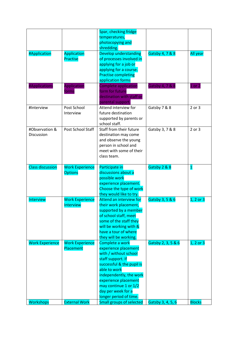|                         |                        | Spar, checking fridge                         |                    |               |
|-------------------------|------------------------|-----------------------------------------------|--------------------|---------------|
|                         |                        | temperatures,                                 |                    |               |
|                         |                        | photocopying and                              |                    |               |
|                         |                        | shredding.                                    |                    |               |
| #Application            | Application            | Develop understanding                         | Gatsby 4, 7 & 8    | All year      |
|                         | Practise               | of processes involved in                      |                    |               |
|                         |                        | applying for a job or                         |                    |               |
|                         |                        | applying for a course.                        |                    |               |
|                         |                        | <b>Practise completing</b>                    |                    |               |
|                         |                        | application forms                             |                    |               |
| #Applications           | Application            | <b>Complete application</b>                   | Gatsby 4, 7 & 8    | $1$ or $2$    |
|                         | forms                  | form for future                               |                    |               |
|                         |                        | destination with staff or                     |                    |               |
|                         |                        | parental support                              |                    |               |
| #Interview              | Post School            | Attend interview for                          | Gatsby 7 & 8       | 2 or 3        |
|                         | Interview              | future destination                            |                    |               |
|                         |                        |                                               |                    |               |
|                         |                        | supported by parents or<br>school staff.      |                    |               |
| #Observation &          | Post School Staff      |                                               |                    |               |
|                         |                        | Staff from their future                       | Gatsby 3, 7 & 8    | 2 or 3        |
| Discussion              |                        | destination may come                          |                    |               |
|                         |                        | and observe the young                         |                    |               |
|                         |                        | person in school and                          |                    |               |
|                         |                        | meet with some of their                       |                    |               |
|                         |                        | class team.                                   |                    |               |
| <b>Class discussion</b> | <b>Work Experience</b> | Participate in                                | Gatsby 2 & 8       | $\mathbf{1}$  |
|                         | <b>Options</b>         | discussions about a                           |                    |               |
|                         |                        | possible work                                 |                    |               |
|                         |                        | experience placement.                         |                    |               |
|                         |                        | Choose the type of work                       |                    |               |
|                         |                        | they would like to try.                       |                    |               |
| Interview               | <b>Work Experience</b> | Attend an interview for                       | Gatsby 3, 5 & 6    | $1, 2$ or $3$ |
|                         | Interview              | their work placement,                         |                    |               |
|                         |                        | supported by a member                         |                    |               |
|                         |                        | of school staff, meet                         |                    |               |
|                         |                        | some of the staff they                        |                    |               |
|                         |                        | will be working with &                        |                    |               |
|                         |                        | have a tour of where                          |                    |               |
|                         |                        |                                               |                    |               |
|                         | <b>Work Experience</b> | they will be working.                         |                    |               |
| <b>Work Experience</b>  | Placement              | Complete a work<br>experience placement       | Gatsby 2, 3, 5 & 6 | 1, 2 or 3     |
|                         |                        | with / without school                         |                    |               |
|                         |                        | staff support. If                             |                    |               |
|                         |                        | successful & the pupil is                     |                    |               |
|                         |                        | able to work                                  |                    |               |
|                         |                        | independently, the work                       |                    |               |
|                         |                        |                                               |                    |               |
|                         |                        | experience placement<br>may continue 1 or 1/2 |                    |               |
|                         |                        |                                               |                    |               |
|                         |                        | day per week for a                            |                    |               |
|                         |                        | longer period of time.                        |                    |               |
| <b>Workshops</b>        | <b>External Work</b>   | <b>Small groups of selected</b>               | Gatsby 3, 4, 5, 6  | <b>Blocks</b> |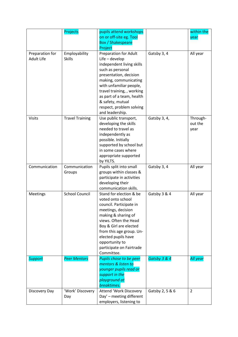|                                      | Projects                       | pupils attend workshops                                                                                                                                                                                                                                                                    |                 | within the                  |
|--------------------------------------|--------------------------------|--------------------------------------------------------------------------------------------------------------------------------------------------------------------------------------------------------------------------------------------------------------------------------------------|-----------------|-----------------------------|
|                                      |                                | on or off-site eg. Tool<br><b>Box / Shakespeare</b>                                                                                                                                                                                                                                        |                 | year                        |
|                                      |                                | Project                                                                                                                                                                                                                                                                                    |                 |                             |
| Preparation for<br><b>Adult Life</b> | Employability<br><b>Skills</b> | <b>Preparation for Adult</b><br>$Life$ – develop<br>independent living skills<br>such as personal<br>presentation, decision<br>making, communicating<br>with unfamiliar people,<br>travel training, , working<br>as part of a team, health<br>& safety, mutual<br>respect, problem solving | Gatsby 3, 4     | All year                    |
| <b>Visits</b>                        | <b>Travel Training</b>         | and leadership.<br>Use public transport,<br>developing the skills<br>needed to travel as<br>independently as<br>possible. Initially<br>supported by school but<br>in some cases where<br>appropriate supported<br>by YILTS.                                                                | Gatsby 3, 4,    | Through-<br>out the<br>year |
| Communication                        | Communication<br>Groups        | Pupils split into small<br>groups within classes &<br>participate in activities<br>developing their<br>communication skills.                                                                                                                                                               | Gatsby 3, 4     | All year                    |
| Meetings                             | <b>School Council</b>          | Stand for election & be<br>voted onto school<br>council. Participate in<br>meetings, decision<br>making & sharing of<br>views. Often the Head<br>Boy & Girl are elected<br>from this age group. Un-<br>elected pupils have<br>opportunity to<br>participate on Fairtrade<br>Committee.     | Gatsby 3 & 4    | All year                    |
| <b>Support</b>                       | <b>Peer Mentors</b>            | Pupils chose to be peer<br>mentors & listen to<br>younger pupils read or<br>support in the<br>playground at<br>breaktimes.                                                                                                                                                                 | Gatsby 3 & 4    | All year                    |
| Discovery Day                        | 'Work' Discovery<br>Day        | <b>Attend 'Work Discovery</b><br>Day' - meeting different<br>employers, listening to                                                                                                                                                                                                       | Gatsby 2, 5 & 6 | $\overline{2}$              |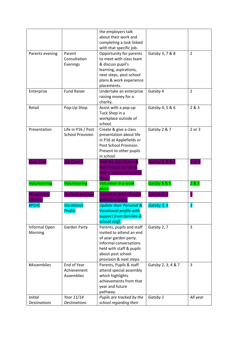|                         |                         | the employers talk                        |                    |                |
|-------------------------|-------------------------|-------------------------------------------|--------------------|----------------|
|                         |                         | about their work and                      |                    |                |
|                         |                         | completing a task linked                  |                    |                |
|                         |                         | with that specific job.                   |                    |                |
| Parents evening         | Parent                  | Opportunity for parents                   | Gatsby 3, 7 & 8    | $\overline{2}$ |
|                         | Consultation            | to meet with class team                   |                    |                |
|                         | Evenings                | & discuss pupil's                         |                    |                |
|                         |                         | learning, aspirations,                    |                    |                |
|                         |                         | next steps, post-school                   |                    |                |
|                         |                         | plans & work experience                   |                    |                |
|                         |                         | placements.                               |                    |                |
| Enterprise              | <b>Fund Raiser</b>      | Undertake an enterprise                   | Gatsby 4           | $\overline{2}$ |
|                         |                         | raising money for a                       |                    |                |
|                         |                         | charity.                                  |                    |                |
| Retail                  | Pop-Up Shop             | Assist with a pop-up                      | Gatsby 4, 5 & 6    | 2&8&3          |
|                         |                         | Tuck Shop in a                            |                    |                |
|                         |                         | workplace outside of                      |                    |                |
|                         |                         | school.                                   |                    |                |
| Presentation            | Life in P16 / Post      | Create & give a class                     | Gatsby 2 & 7       | 2 or 3         |
|                         | <b>School Provision</b> | presentation about life                   |                    |                |
|                         |                         | in P16 at Applefields or                  |                    |                |
|                         |                         | Post School Provision.                    |                    |                |
|                         |                         | Present to other pupils                   |                    |                |
|                         |                         | in school                                 |                    |                |
| <b>Class Visit</b>      | <b>Job Centre</b>       | Visit the Job Centre &                    | Gatsby 2, 5 & 6    | $2$ or $3$     |
|                         |                         | learn about its role &                    |                    |                |
|                         |                         | how it can be of help to                  |                    |                |
|                         |                         | them.                                     |                    |                |
| Volunteering            | Volunteering            | Volunteer in a work                       | Gatsby 5 & 6       | 283            |
|                         |                         | place                                     |                    |                |
| #Functional<br>Literacy | <b>Curriculum Vitae</b> | Complete their CV with<br>guided support. | Gatsby 3, 4        | В              |
| <b>#PSHE</b>            | Vocational              | <b>Update their Personal &amp;</b>        | Gatsby 3, 4        | 3              |
|                         | Profile                 | <b>Vocational profile with</b>            |                    |                |
|                         |                         | support from families &                   |                    |                |
|                         |                         | school staff.                             |                    |                |
| Informal Open           | Garden Party            | Parents, pupils and staff                 | Gatsby 2, 7        | 3              |
| Morning                 |                         | invited to attend an end                  |                    |                |
|                         |                         | of year garden party.                     |                    |                |
|                         |                         | Informal conversations                    |                    |                |
|                         |                         | held with staff & pupils                  |                    |                |
|                         |                         | about post school                         |                    |                |
|                         |                         | provision & next steps.                   |                    |                |
| #Assemblies             | End of Year             | Parents, Pupils & staff                   | Gatsby 2, 3, 4 & 7 | 3              |
|                         | Achievement             | attend special assembly                   |                    |                |
|                         | Assemblies              | which highlights                          |                    |                |
|                         |                         | achievements from that                    |                    |                |
|                         |                         | year and future                           |                    |                |
|                         |                         | pathway.                                  |                    |                |
| <b>Initial</b>          | Year 11/14              | Pupils are tracked by the                 | Gatsby 1           | All year       |
| <b>Destinations</b>     | <b>Destinations</b>     | school regarding their                    |                    |                |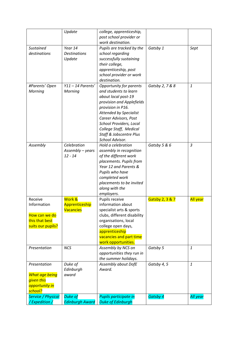|                           | Update                 | college, apprenticeship,                         |                 |                 |
|---------------------------|------------------------|--------------------------------------------------|-----------------|-----------------|
|                           |                        | post school provider or                          |                 |                 |
|                           |                        | work destination.                                |                 |                 |
| Sustained                 | Year 14                | Pupils are tracked by the                        | Gatsby 1        | Sept            |
| destinations              | <b>Destinations</b>    | school regarding                                 |                 |                 |
|                           | Update                 | successfully sustaining                          |                 |                 |
|                           |                        | their college,                                   |                 |                 |
|                           |                        | apprenticeship, post                             |                 |                 |
|                           |                        | school provider or work                          |                 |                 |
|                           |                        | destination.                                     |                 |                 |
| #Parents' Open            | $Y11 - 14$ Parents'    | <b>Opportunity for parents</b>                   | Gatsby 2, 7 & 8 | $\mathbf{1}$    |
| Morning                   | Morning                | and students to learn                            |                 |                 |
|                           |                        | about local post-19                              |                 |                 |
|                           |                        | provision and Applefields                        |                 |                 |
|                           |                        | provision in P16.                                |                 |                 |
|                           |                        | <b>Attended by Specialist</b>                    |                 |                 |
|                           |                        | Career Advisors, Post                            |                 |                 |
|                           |                        | School Providers, Local                          |                 |                 |
|                           |                        | College Staff, Medical                           |                 |                 |
|                           |                        | <b>Staff &amp; Jobscentre Plus</b>               |                 |                 |
|                           |                        | School Advisor.                                  |                 |                 |
| Assembly                  | Celebration            | Hold a celebration                               | Gatsby 5 & 6    | $\mathfrak{Z}$  |
|                           | Assembly - years       | assembly in recognition                          |                 |                 |
|                           | $12 - 14$              | of the different work                            |                 |                 |
|                           |                        |                                                  |                 |                 |
|                           |                        | placements. Pupils from<br>Year 12 and Parents & |                 |                 |
|                           |                        |                                                  |                 |                 |
|                           |                        | Pupils who have                                  |                 |                 |
|                           |                        | completed work                                   |                 |                 |
|                           |                        | placements to be invited                         |                 |                 |
|                           |                        | along with the                                   |                 |                 |
|                           |                        | employers.                                       |                 |                 |
| Receive                   | Work &                 | Pupils receive                                   | Gatsby 2, 3 & 7 | <b>All year</b> |
| Information               | Apprenticeship         | information about                                |                 |                 |
|                           | <b>Vacancies</b>       | specialist arts & sports                         |                 |                 |
| How can we do             |                        | clubs, different disability                      |                 |                 |
| this that best            |                        | organisations, local                             |                 |                 |
| suits our pupils?         |                        | college open days,                               |                 |                 |
|                           |                        | apprenticeship                                   |                 |                 |
|                           |                        | vacancies and part time                          |                 |                 |
|                           |                        | work opportunities.                              |                 |                 |
| Presentation              | <b>NCS</b>             | Assembly by NCS on                               | Gatsby 5        | 1               |
|                           |                        | opportunities they run in                        |                 |                 |
|                           |                        | the summer holidays.                             |                 |                 |
| Presentation              | Duke of                | Assembly about DofE                              | Gatsby 4, 5     | $\mathbf{1}$    |
|                           | Edinburgh              | Award.                                           |                 |                 |
| <b>What age being</b>     | award                  |                                                  |                 |                 |
| given this                |                        |                                                  |                 |                 |
| opportunity in            |                        |                                                  |                 |                 |
| school?                   |                        |                                                  |                 |                 |
| <b>Service / Physical</b> | <b>Duke of</b>         | Pupils participate in                            | <b>Gatsby 4</b> | All year        |
| /Expedition/              | <b>Edinburgh Award</b> | <b>Duke of Edinburgh</b>                         |                 |                 |